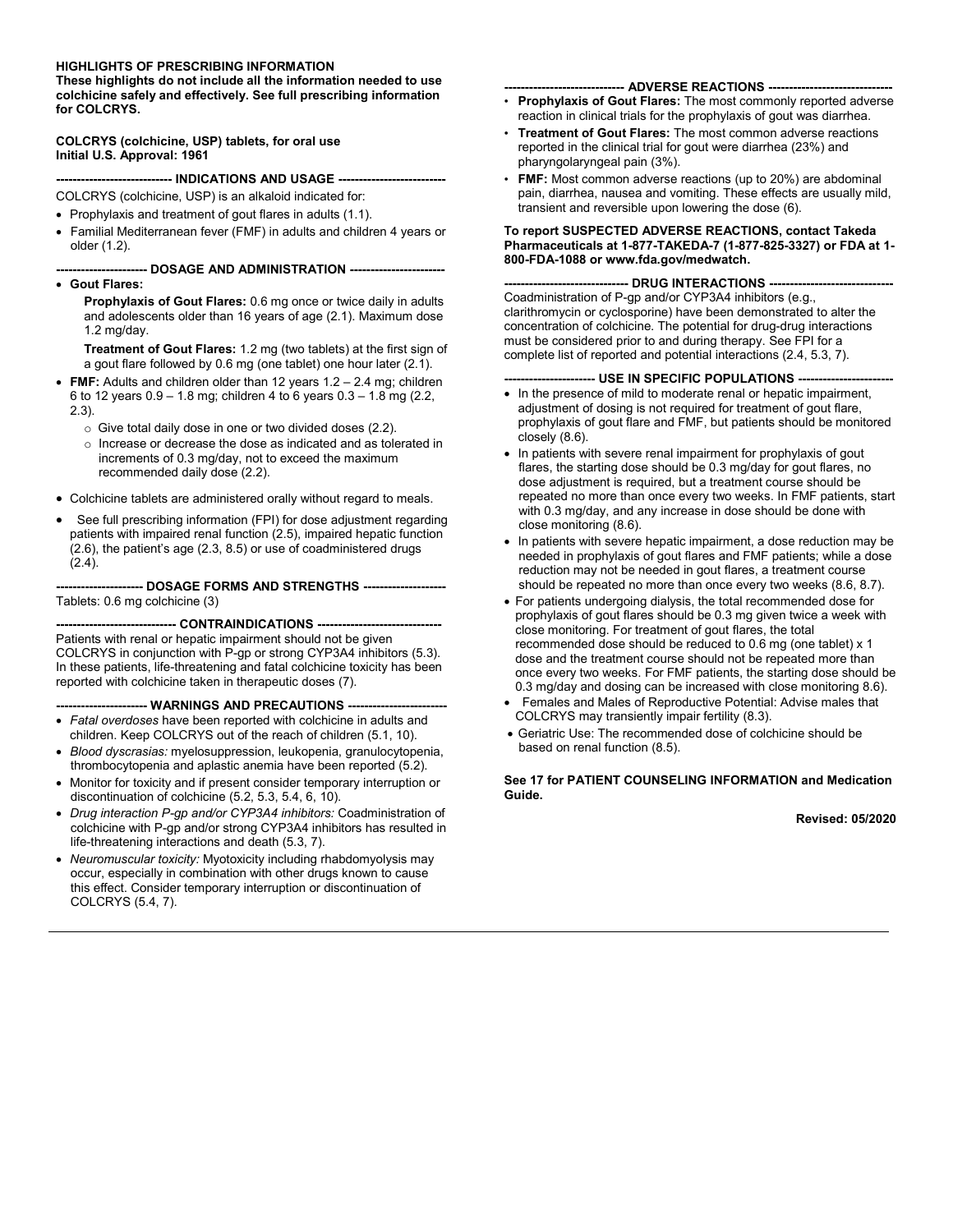#### **HIGHLIGHTS OF PRESCRIBING INFORMATION**

**These highlights do not include all the information needed to use colchicine safely and effectively. See full prescribing information for COLCRYS.** 

#### **COLCRYS (colchicine, USP) tablets, for oral use Initial U.S. Approval: 1961**

**---------------------------- INDICATIONS AND USAGE --------------------------**

COLCRYS (colchicine, USP) is an alkaloid indicated for:

- Prophylaxis and treatment of gout flares in adults (1.1).
- Familial Mediterranean fever (FMF) in adults and children 4 years or older (1.2).
- **---------------------- DOSAGE AND ADMINISTRATION -----------------------** • **Gout Flares:**

**Prophylaxis of Gout Flares:** 0.6 mg once or twice daily in adults and adolescents older than 16 years of age (2.1). Maximum dose 1.2 mg/day.

**Treatment of Gout Flares:** 1.2 mg (two tablets) at the first sign of a gout flare followed by 0.6 mg (one tablet) one hour later (2.1).

• **FMF:** Adults and children older than 12 years 1.2 – 2.4 mg; children 6 to 12 years 0.9 – 1.8 mg; children 4 to 6 years 0.3 – 1.8 mg (2.2,

2.3).

- o Give total daily dose in one or two divided doses (2.2).
- o Increase or decrease the dose as indicated and as tolerated in increments of 0.3 mg/day, not to exceed the maximum recommended daily dose (2.2).
- Colchicine tablets are administered orally without regard to meals.
- See full prescribing information (FPI) for dose adjustment regarding patients with impaired renal function (2.5), impaired hepatic function (2.6), the patient's age (2.3, 8.5) or use of coadministered drugs  $(2.4)$ .

**--------------------- DOSAGE FORMS AND STRENGTHS --------------------** Tablets: 0.6 mg colchicine (3)

--- CONTRAINDICATIONS --Patients with renal or hepatic impairment should not be given COLCRYS in conjunction with P-gp or strong CYP3A4 inhibitors (5.3). In these patients, life-threatening and fatal colchicine toxicity has been reported with colchicine taken in therapeutic doses (7).

**--- WARNINGS AND PRECAUTIONS --**

- *Fatal overdoses* have been reported with colchicine in adults and children. Keep COLCRYS out of the reach of children (5.1, 10).
- *Blood dyscrasias:* myelosuppression, leukopenia, granulocytopenia, thrombocytopenia and aplastic anemia have been reported (5.2).
- Monitor for toxicity and if present consider temporary interruption or discontinuation of colchicine (5.2, 5.3, 5.4, 6, 10).
- *Drug interaction P-gp and/or CYP3A4 inhibitors:* Coadministration of colchicine with P-gp and/or strong CYP3A4 inhibitors has resulted in life-threatening interactions and death (5.3, 7).
- *Neuromuscular toxicity:* Myotoxicity including rhabdomyolysis may occur, especially in combination with other drugs known to cause this effect. Consider temporary interruption or discontinuation of COLCRYS (5.4, 7).

#### **----------------------------- ADVERSE REACTIONS ------------------------------**

- **Prophylaxis of Gout Flares:** The most commonly reported adverse reaction in clinical trials for the prophylaxis of gout was diarrhea.
- **Treatment of Gout Flares:** The most common adverse reactions reported in the clinical trial for gout were diarrhea (23%) and pharyngolaryngeal pain (3%).
- **FMF:** Most common adverse reactions (up to 20%) are abdominal pain, diarrhea, nausea and vomiting. These effects are usually mild, transient and reversible upon lowering the dose (6).

#### **To report SUSPECTED ADVERSE REACTIONS, contact Takeda Pharmaceuticals at 1-877-TAKEDA-7 (1-877-825-3327) or FDA at 1- 800-FDA-1088 or www.fda.gov/medwatch.**

--- DRUG INTERACTIONS ----

Coadministration of P-gp and/or CYP3A4 inhibitors (e.g., clarithromycin or cyclosporine) have been demonstrated to alter the concentration of colchicine. The potential for drug-drug interactions must be considered prior to and during therapy. See FPI for a complete list of reported and potential interactions (2.4, 5.3, 7).

#### **--- USE IN SPECIFIC POPULATIONS --**

- In the presence of mild to moderate renal or hepatic impairment, adjustment of dosing is not required for treatment of gout flare, prophylaxis of gout flare and FMF, but patients should be monitored closely (8.6).
- In patients with severe renal impairment for prophylaxis of gout flares, the starting dose should be 0.3 mg/day for gout flares, no dose adjustment is required, but a treatment course should be repeated no more than once every two weeks. In FMF patients, start with 0.3 mg/day, and any increase in dose should be done with close monitoring (8.6).
- In patients with severe hepatic impairment, a dose reduction may be needed in prophylaxis of gout flares and FMF patients; while a dose reduction may not be needed in gout flares, a treatment course should be repeated no more than once every two weeks (8.6, 8.7).
- For patients undergoing dialysis, the total recommended dose for prophylaxis of gout flares should be 0.3 mg given twice a week with close monitoring. For treatment of gout flares, the total recommended dose should be reduced to 0.6 mg (one tablet) x 1 dose and the treatment course should not be repeated more than once every two weeks. For FMF patients, the starting dose should be 0.3 mg/day and dosing can be increased with close monitoring 8.6).
- •Females and Males of Reproductive Potential: Advise males that COLCRYS may transiently impair fertility (8.3).
- Geriatric Use: The recommended dose of colchicine should be based on renal function (8.5).

**See 17 for PATIENT COUNSELING INFORMATION and Medication Guide.** 

#### **Revised: 05/2020**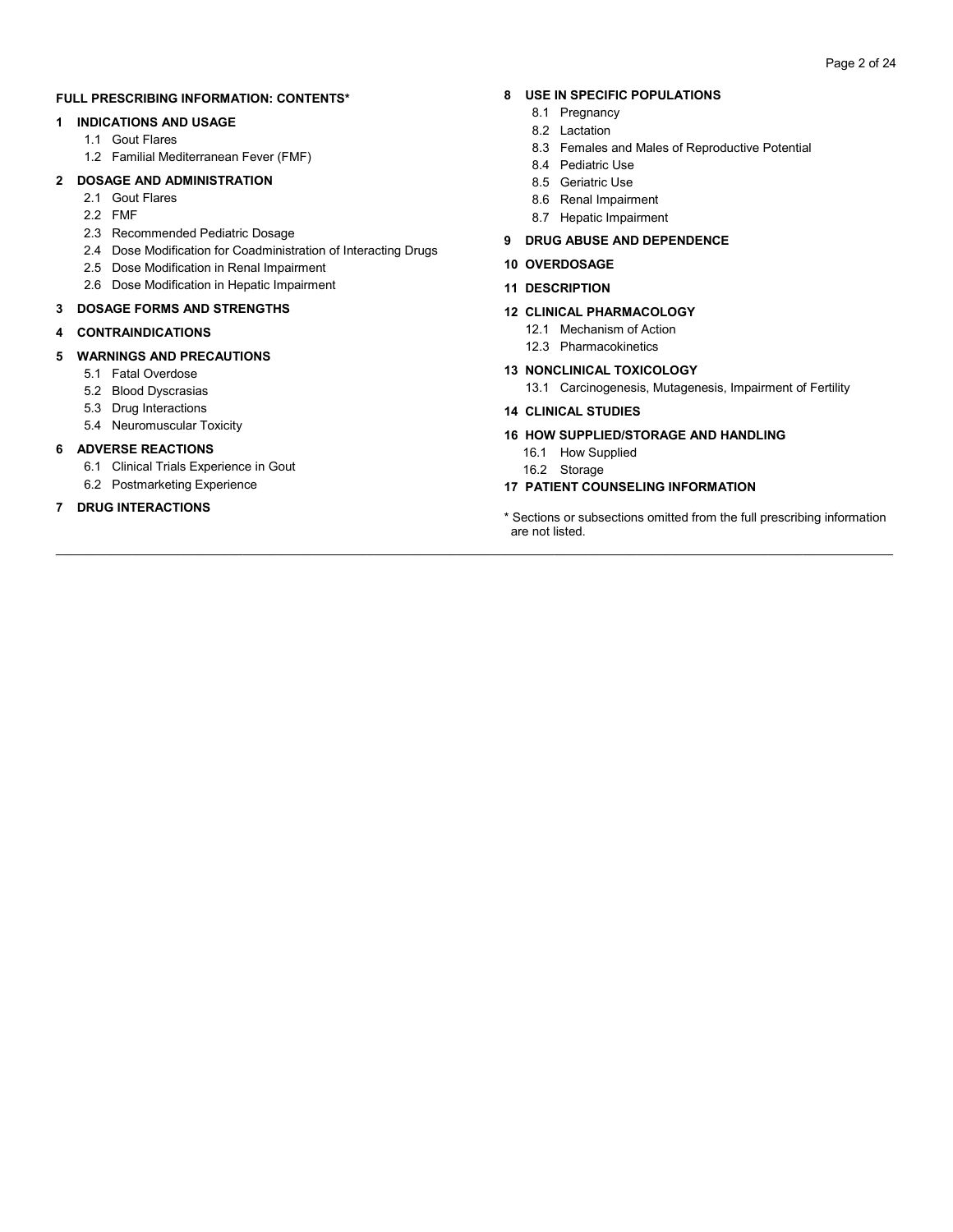#### **FULL PRESCRIBING INFORMATION: CONTENTS\***

#### **1 INDICATIONS AND USAGE**

- 1.1 Gout Flares
- 1.2 Familial Mediterranean Fever (FMF)

#### **2 DOSAGE AND ADMINISTRATION**

- 2.1 Gout Flares
- 2.2 FMF
- 2.3 Recommended Pediatric Dosage
- 2.4 Dose Modification for Coadministration of Interacting Drugs
- 2.5 Dose Modification in Renal Impairment
- 2.6 Dose Modification in Hepatic Impairment

#### **3 DOSAGE FORMS AND STRENGTHS**

#### **4 CONTRAINDICATIONS**

#### **5 WARNINGS AND PRECAUTIONS**

- 5.1 Fatal Overdose
- 5.2 Blood Dyscrasias
- 5.3 Drug Interactions
- 5.4 Neuromuscular Toxicity

#### **6 ADVERSE REACTIONS**

- 6.1 Clinical Trials Experience in Gout
- 6.2 Postmarketing Experience

#### **7 DRUG INTERACTIONS**

#### **8 USE IN SPECIFIC POPULATIONS**

- 8.1 Pregnancy
- 8.2 Lactation
- 8.3 Females and Males of Reproductive Potential
- 8.4 Pediatric Use
- 8.5 Geriatric Use
- 8.6 Renal Impairment
- 8.7 Hepatic Impairment

#### **9 DRUG ABUSE AND DEPENDENCE**

- **10 OVERDOSAGE**
- **11 DESCRIPTION**

#### **12 CLINICAL PHARMACOLOGY**

- 12.1 Mechanism of Action
- 12.3 Pharmacokinetics

#### **13 NONCLINICAL TOXICOLOGY**

13.1 Carcinogenesis, Mutagenesis, Impairment of Fertility

#### **14 CLINICAL STUDIES**

- **16 HOW SUPPLIED/STORAGE AND HANDLING**
	- 16.1 How Supplied
	- 16.2 Storage

 $\Box$ 

#### **17 PATIENT COUNSELING INFORMATION**

\* Sections or subsections omitted from the full prescribing information are not listed.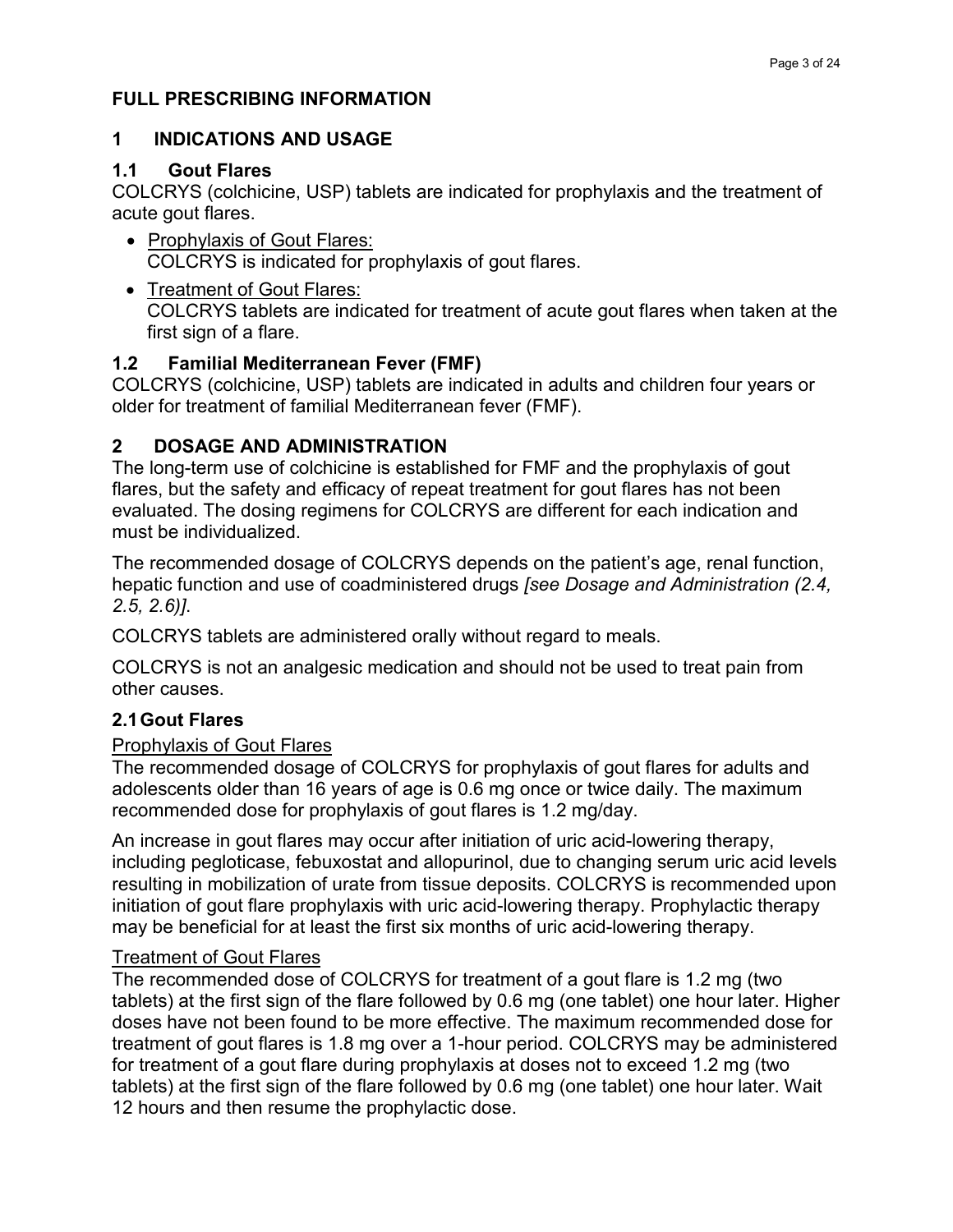#### **FULL PRESCRIBING INFORMATION**

## **1 INDICATIONS AND USAGE**

#### **1.1 Gout Flares**

COLCRYS (colchicine, USP) tablets are indicated for prophylaxis and the treatment of acute gout flares.

- Prophylaxis of Gout Flares: COLCRYS is indicated for prophylaxis of gout flares.
- Treatment of Gout Flares: COLCRYS tablets are indicated for treatment of acute gout flares when taken at the first sign of a flare.

## **1.2 Familial Mediterranean Fever (FMF)**

COLCRYS (colchicine, USP) tablets are indicated in adults and children four years or older for treatment of familial Mediterranean fever (FMF).

## **2 DOSAGE AND ADMINISTRATION**

The long-term use of colchicine is established for FMF and the prophylaxis of gout flares, but the safety and efficacy of repeat treatment for gout flares has not been evaluated. The dosing regimens for COLCRYS are different for each indication and must be individualized.

The recommended dosage of COLCRYS depends on the patient's age, renal function, hepatic function and use of coadministered drugs *[see Dosage and Administration (2.4, 2.5, 2.6)]*.

COLCRYS tablets are administered orally without regard to meals.

COLCRYS is not an analgesic medication and should not be used to treat pain from other causes.

#### **2.1Gout Flares**

#### Prophylaxis of Gout Flares

The recommended dosage of COLCRYS for prophylaxis of gout flares for adults and adolescents older than 16 years of age is 0.6 mg once or twice daily. The maximum recommended dose for prophylaxis of gout flares is 1.2 mg/day.

An increase in gout flares may occur after initiation of uric acid-lowering therapy, including pegloticase, febuxostat and allopurinol, due to changing serum uric acid levels resulting in mobilization of urate from tissue deposits. COLCRYS is recommended upon initiation of gout flare prophylaxis with uric acid-lowering therapy. Prophylactic therapy may be beneficial for at least the first six months of uric acid-lowering therapy.

#### Treatment of Gout Flares

The recommended dose of COLCRYS for treatment of a gout flare is 1.2 mg (two tablets) at the first sign of the flare followed by 0.6 mg (one tablet) one hour later. Higher doses have not been found to be more effective. The maximum recommended dose for treatment of gout flares is 1.8 mg over a 1-hour period. COLCRYS may be administered for treatment of a gout flare during prophylaxis at doses not to exceed 1.2 mg (two tablets) at the first sign of the flare followed by 0.6 mg (one tablet) one hour later. Wait 12 hours and then resume the prophylactic dose.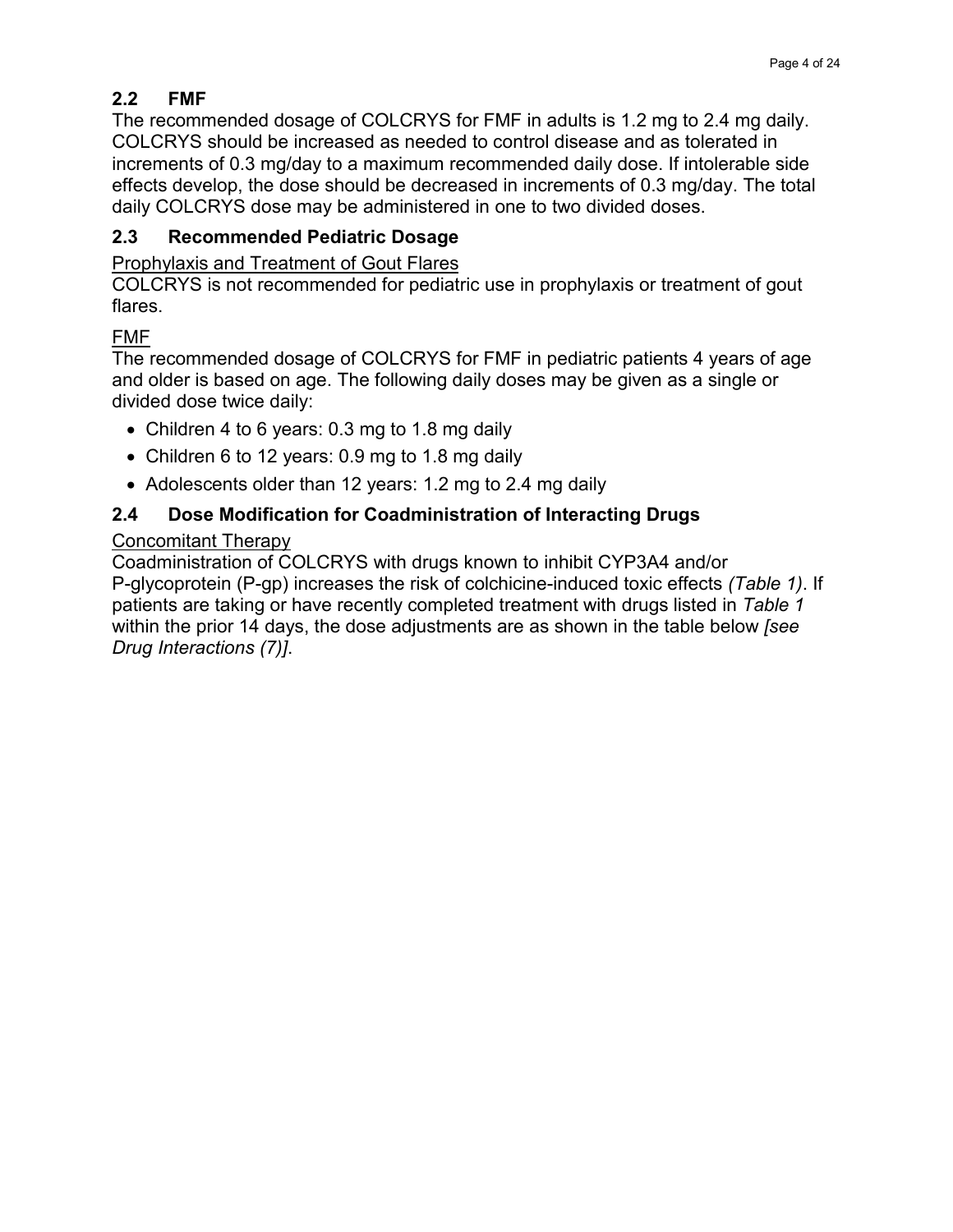# **2.2 FMF**

The recommended dosage of COLCRYS for FMF in adults is 1.2 mg to 2.4 mg daily. COLCRYS should be increased as needed to control disease and as tolerated in increments of 0.3 mg/day to a maximum recommended daily dose. If intolerable side effects develop, the dose should be decreased in increments of 0.3 mg/day. The total daily COLCRYS dose may be administered in one to two divided doses.

# **2.3 Recommended Pediatric Dosage**

Prophylaxis and Treatment of Gout Flares

COLCRYS is not recommended for pediatric use in prophylaxis or treatment of gout flares.

# FMF

The recommended dosage of COLCRYS for FMF in pediatric patients 4 years of age and older is based on age. The following daily doses may be given as a single or divided dose twice daily:

- Children 4 to 6 years: 0.3 mg to 1.8 mg daily
- Children 6 to 12 years: 0.9 mg to 1.8 mg daily
- Adolescents older than 12 years: 1.2 mg to 2.4 mg daily

# **2.4 Dose Modification for Coadministration of Interacting Drugs**

# Concomitant Therapy

Coadministration of COLCRYS with drugs known to inhibit CYP3A4 and/or P-glycoprotein (P-gp) increases the risk of colchicine-induced toxic effects *(Table 1)*. If patients are taking or have recently completed treatment with drugs listed in *Table 1* within the prior 14 days, the dose adjustments are as shown in the table below *[see Drug Interactions (7)]*.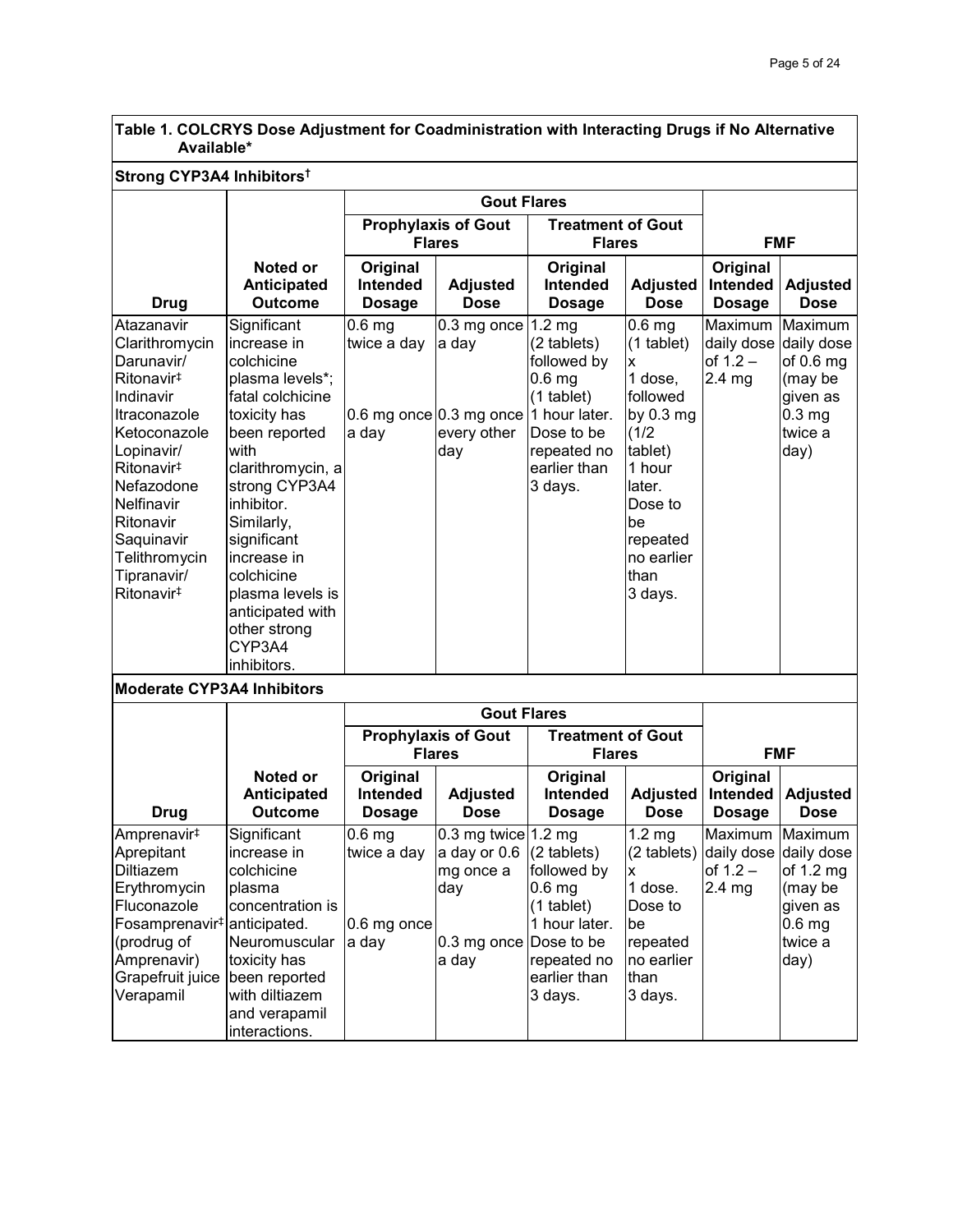| Available*                                                                                                                                                                                                                                                                 | Table 1. COLCRYS Dose Adjustment for Coadministration with Interacting Drugs if No Alternative                                                                                                                                                                                                                          |                                                          |                                                                                                                  |                                                                                                                          |                                                                                                                                                                                |                                                          |                                                                                                             |
|----------------------------------------------------------------------------------------------------------------------------------------------------------------------------------------------------------------------------------------------------------------------------|-------------------------------------------------------------------------------------------------------------------------------------------------------------------------------------------------------------------------------------------------------------------------------------------------------------------------|----------------------------------------------------------|------------------------------------------------------------------------------------------------------------------|--------------------------------------------------------------------------------------------------------------------------|--------------------------------------------------------------------------------------------------------------------------------------------------------------------------------|----------------------------------------------------------|-------------------------------------------------------------------------------------------------------------|
| Strong CYP3A4 Inhibitors <sup>t</sup>                                                                                                                                                                                                                                      |                                                                                                                                                                                                                                                                                                                         |                                                          |                                                                                                                  |                                                                                                                          |                                                                                                                                                                                |                                                          |                                                                                                             |
|                                                                                                                                                                                                                                                                            |                                                                                                                                                                                                                                                                                                                         |                                                          | <b>Gout Flares</b>                                                                                               |                                                                                                                          |                                                                                                                                                                                |                                                          |                                                                                                             |
|                                                                                                                                                                                                                                                                            |                                                                                                                                                                                                                                                                                                                         |                                                          | <b>Prophylaxis of Gout</b><br><b>Flares</b>                                                                      | <b>Treatment of Gout</b><br><b>Flares</b>                                                                                |                                                                                                                                                                                | <b>FMF</b>                                               |                                                                                                             |
| <b>Drug</b>                                                                                                                                                                                                                                                                | Noted or<br>Anticipated<br><b>Outcome</b>                                                                                                                                                                                                                                                                               | Original<br><b>Intended</b><br><b>Dosage</b>             | <b>Adjusted</b><br><b>Dose</b>                                                                                   | Original<br>Intended<br><b>Dosage</b>                                                                                    | <b>Adjusted</b><br><b>Dose</b>                                                                                                                                                 | Original<br>Intended<br><b>Dosage</b>                    | <b>Adjusted</b><br><b>Dose</b>                                                                              |
| Atazanavir<br>Clarithromycin<br>Darunavir/<br>Ritonavir <sup>#</sup><br>Indinavir<br>Itraconazole<br>Ketoconazole<br>Lopinavir/<br>Ritonavir <sup>#</sup><br>Nefazodone<br>Nelfinavir<br>Ritonavir<br>Saquinavir<br>Telithromycin<br>Tipranavir/<br>Ritonavir <sup>#</sup> | Significant<br>increase in<br>colchicine<br>plasma levels*;<br>fatal colchicine<br>toxicity has<br>been reported<br>with<br>clarithromycin, a<br>strong CYP3A4<br>inhibitor.<br>Similarly,<br>significant<br>increase in<br>colchicine<br>plasma levels is<br>anticipated with<br>other strong<br>CYP3A4<br>inhibitors. | 0.6 <sub>mg</sub><br>twice a day<br>a day                | 0.3 mg once 1.2 mg<br>a day<br>0.6 mg once $ 0.3 \text{ mg}$ once $ 1 \text{ hour}$ later.<br>every other<br>day | (2 tablets)<br>followed by<br>0.6 <sub>mg</sub><br>(1 tablet)<br>Dose to be<br>repeated no<br>earlier than<br>3 days.    | 0.6 <sub>mg</sub><br>(1 tablet)<br>X<br>1 dose,<br>followed<br>by 0.3 mg<br>(1/2)<br>tablet)<br>1 hour<br>later.<br>Dose to<br>be<br>repeated<br>no earlier<br>than<br>3 days. | Maximum<br>daily dose daily dose<br>of $1.2 -$<br>2.4 mg | Maximum<br>of $0.6$ mg<br>(may be<br>given as<br>0.3 <sub>mg</sub><br>twice a<br>day)                       |
| <b>Moderate CYP3A4 Inhibitors</b>                                                                                                                                                                                                                                          |                                                                                                                                                                                                                                                                                                                         |                                                          |                                                                                                                  |                                                                                                                          |                                                                                                                                                                                |                                                          |                                                                                                             |
|                                                                                                                                                                                                                                                                            |                                                                                                                                                                                                                                                                                                                         |                                                          | <b>Gout Flares</b>                                                                                               |                                                                                                                          |                                                                                                                                                                                |                                                          |                                                                                                             |
|                                                                                                                                                                                                                                                                            |                                                                                                                                                                                                                                                                                                                         |                                                          | <b>Prophylaxis of Gout</b><br><b>Flares</b>                                                                      | <b>Treatment of Gout</b><br><b>Flares</b>                                                                                |                                                                                                                                                                                | <b>FMF</b>                                               |                                                                                                             |
| Drug                                                                                                                                                                                                                                                                       | Noted or<br>Anticipated<br><b>Outcome</b>                                                                                                                                                                                                                                                                               | Original<br>Intended<br><b>Dosage</b>                    | <b>Adjusted</b><br><b>Dose</b>                                                                                   | Original<br>Intended<br><b>Dosage</b>                                                                                    | <b>Adjusted</b><br><b>Dose</b>                                                                                                                                                 | Original<br>Intended<br><b>Dosage</b>                    | <b>Adjusted</b><br><b>Dose</b>                                                                              |
| Amprenavir <sup>#</sup><br>Aprepitant<br><b>Diltiazem</b><br>Erythromycin<br>Fluconazole<br>Fosamprenavir <sup>#</sup> anticipated.<br>(prodrug of<br>Amprenavir)<br>Grapefruit juice<br>Verapamil                                                                         | Significant<br>increase in<br>colchicine<br>plasma<br>concentration is<br>Neuromuscular<br>toxicity has<br>been reported<br>with diltiazem<br>and verapamil<br>interactions.                                                                                                                                            | 0.6 <sub>mg</sub><br>twice a day<br>0.6 mg once<br>a day | 0.3 mg twice $ 1.2$ mg<br>a day or 0.6<br>mg once a<br>day<br>0.3 mg once Dose to be<br>a day                    | (2 tablets)<br>followed by<br>0.6 <sub>mg</sub><br>(1 tablet)<br>1 hour later.<br>repeated no<br>earlier than<br>3 days. | $1.2 \text{ mg}$<br>(2 tablets)<br>X<br>1 dose.<br>Dose to<br>be<br>repeated<br>no earlier<br>than<br>3 days.                                                                  | Maximum<br>daily dose<br>of 1.2 -<br>$2.4 \text{ mg}$    | Maximum<br>daily dose<br>of $1.2 \text{ mg}$<br>(may be<br>given as<br>0.6 <sub>mg</sub><br>twice a<br>day) |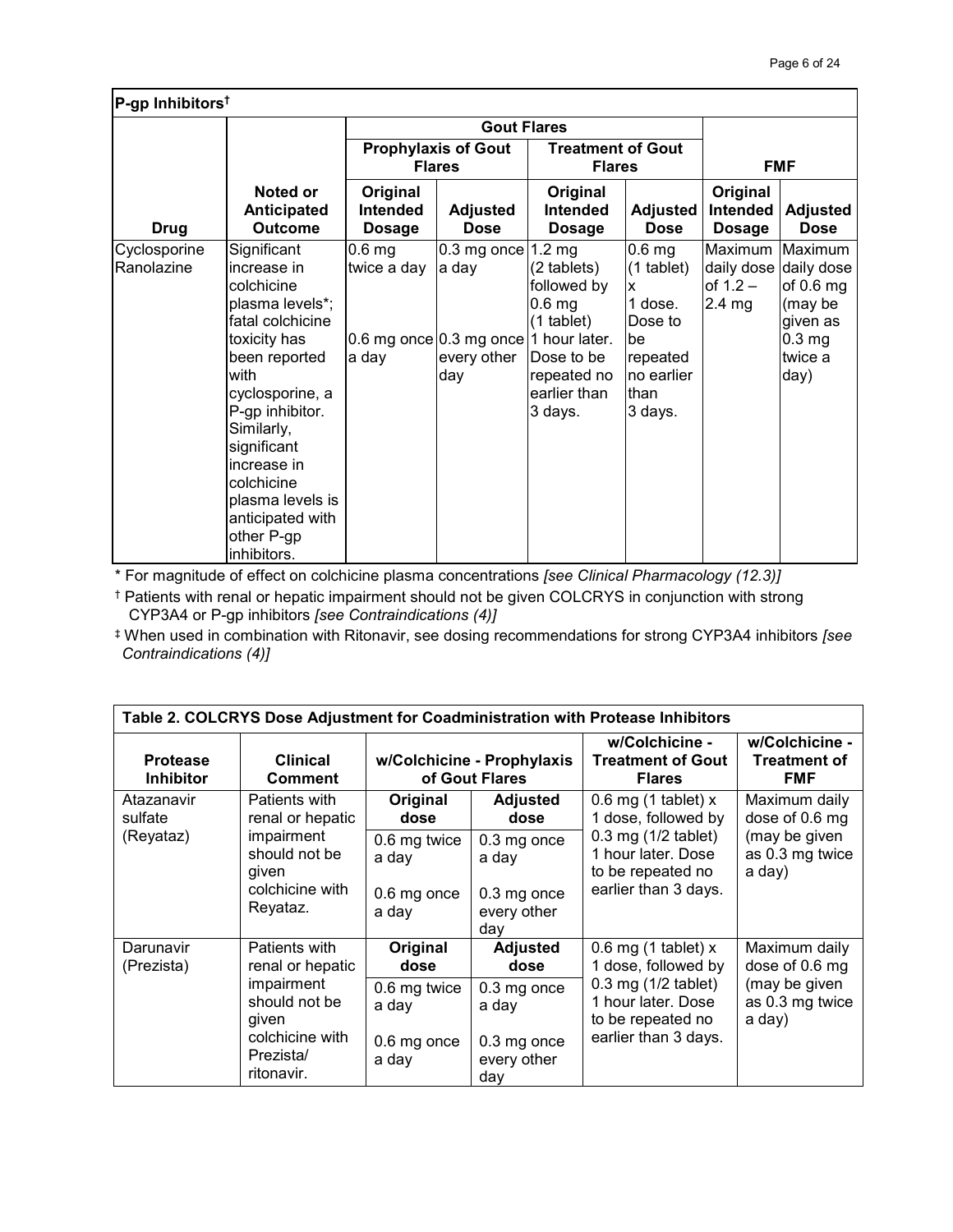| $ P$ -gp Inhibitors <sup>†</sup> |                                                                                                                                                                                                                                                                                               |                                              |                                                                                                           |                                                                                                                       |                                                                                                                 |                                           |                                                                                                                |  |
|----------------------------------|-----------------------------------------------------------------------------------------------------------------------------------------------------------------------------------------------------------------------------------------------------------------------------------------------|----------------------------------------------|-----------------------------------------------------------------------------------------------------------|-----------------------------------------------------------------------------------------------------------------------|-----------------------------------------------------------------------------------------------------------------|-------------------------------------------|----------------------------------------------------------------------------------------------------------------|--|
|                                  |                                                                                                                                                                                                                                                                                               |                                              | <b>Gout Flares</b>                                                                                        |                                                                                                                       |                                                                                                                 |                                           |                                                                                                                |  |
|                                  |                                                                                                                                                                                                                                                                                               |                                              | <b>Prophylaxis of Gout</b><br><b>Flares</b>                                                               |                                                                                                                       | <b>Treatment of Gout</b><br><b>Flares</b>                                                                       |                                           | <b>FMF</b>                                                                                                     |  |
| <b>Drug</b>                      | Noted or<br><b>Anticipated</b><br><b>Outcome</b>                                                                                                                                                                                                                                              | Original<br><b>Intended</b><br><b>Dosage</b> | <b>Adjusted</b><br><b>Dose</b>                                                                            | Original<br>Intended<br><b>Dosage</b>                                                                                 | <b>Adjusted</b><br><b>Dose</b>                                                                                  | Original<br>Intended<br><b>Dosage</b>     | <b>Adjusted</b><br><b>Dose</b>                                                                                 |  |
| Cyclosporine<br>Ranolazine       | Significant<br>increase in<br>colchicine<br>plasma levels*;<br>fatal colchicine<br>toxicity has<br>been reported<br>with<br>cyclosporine, a<br>P-gp inhibitor.<br>Similarly,<br>significant<br>increase in<br>colchicine<br>plasma levels is<br>anticipated with<br>other P-gp<br>inhibitors. | 0.6 <sub>mg</sub><br>twice a day<br>a day    | 0.3 mg once $ 1.2$ mg<br>a day<br>0.6 mg once $ 0.3 \text{ mg}$ once  1 hour later.<br>every other<br>day | (2 tablets)<br>followed by<br>0.6 <sub>mg</sub><br>(1 tablet)<br>Dose to be<br>repeated no<br>earlier than<br>3 days. | 0.6 <sub>mg</sub><br>$(1$ tablet)<br>X<br>1 dose.<br>Dose to<br>be<br>repeated<br>no earlier<br>than<br>3 days. | Maximum<br>of $1.2 -$<br>$2.4 \text{ mg}$ | Maximum<br>daily dose daily dose<br>of $0.6$ mg<br>(may be<br>given as<br>0.3 <sub>mg</sub><br>twice a<br>day) |  |

\* For magnitude of effect on colchicine plasma concentrations *[see Clinical Pharmacology (12.3)]*

† Patients with renal or hepatic impairment should not be given COLCRYS in conjunction with strong CYP3A4 or P-gp inhibitors *[see Contraindications (4)]*

‡ When used in combination with Ritonavir, see dosing recommendations for strong CYP3A4 inhibitors *[see Contraindications (4)]*

| Table 2. COLCRYS Dose Adjustment for Coadministration with Protease Inhibitors |                                                                                    |                                               |                                                             |                                                                                            |                                                     |
|--------------------------------------------------------------------------------|------------------------------------------------------------------------------------|-----------------------------------------------|-------------------------------------------------------------|--------------------------------------------------------------------------------------------|-----------------------------------------------------|
| <b>Protease</b><br><b>Inhibitor</b>                                            | <b>Clinical</b><br><b>Comment</b>                                                  | w/Colchicine - Prophylaxis<br>of Gout Flares  |                                                             | w/Colchicine -<br><b>Treatment of Gout</b><br><b>Flares</b>                                | w/Colchicine -<br><b>Treatment of</b><br><b>FMF</b> |
| Atazanavir<br>sulfate                                                          | Patients with<br>renal or hepatic                                                  | Original<br>dose                              | <b>Adjusted</b><br>dose                                     | 0.6 mg $(1$ tablet) x<br>1 dose, followed by                                               | Maximum daily<br>dose of 0.6 mg                     |
| (Reyataz)                                                                      | impairment<br>should not be<br>given<br>colchicine with<br>Reyataz.                | 0.6 mg twice<br>a day<br>0.6 mg once<br>a day | 0.3 mg once<br>a day<br>$0.3$ mg once<br>every other<br>day | $0.3$ mg $(1/2$ tablet)<br>1 hour later. Dose<br>to be repeated no<br>earlier than 3 days. | (may be given<br>as 0.3 mg twice<br>a day)          |
| Darunavir<br>(Prezista)                                                        | Patients with<br>renal or hepatic                                                  | Original<br>dose                              | <b>Adjusted</b><br>dose                                     | 0.6 mg $(1$ tablet) x<br>1 dose, followed by                                               | Maximum daily<br>dose of 0.6 mg                     |
|                                                                                | impairment<br>should not be<br>given<br>colchicine with<br>Prezista/<br>ritonavir. | 0.6 mg twice<br>a day<br>0.6 mg once<br>a day | $0.3$ mg once<br>a day<br>0.3 mg once<br>every other<br>day | $0.3$ mg $(1/2$ tablet)<br>1 hour later. Dose<br>to be repeated no<br>earlier than 3 days. | (may be given<br>as 0.3 mg twice<br>a day)          |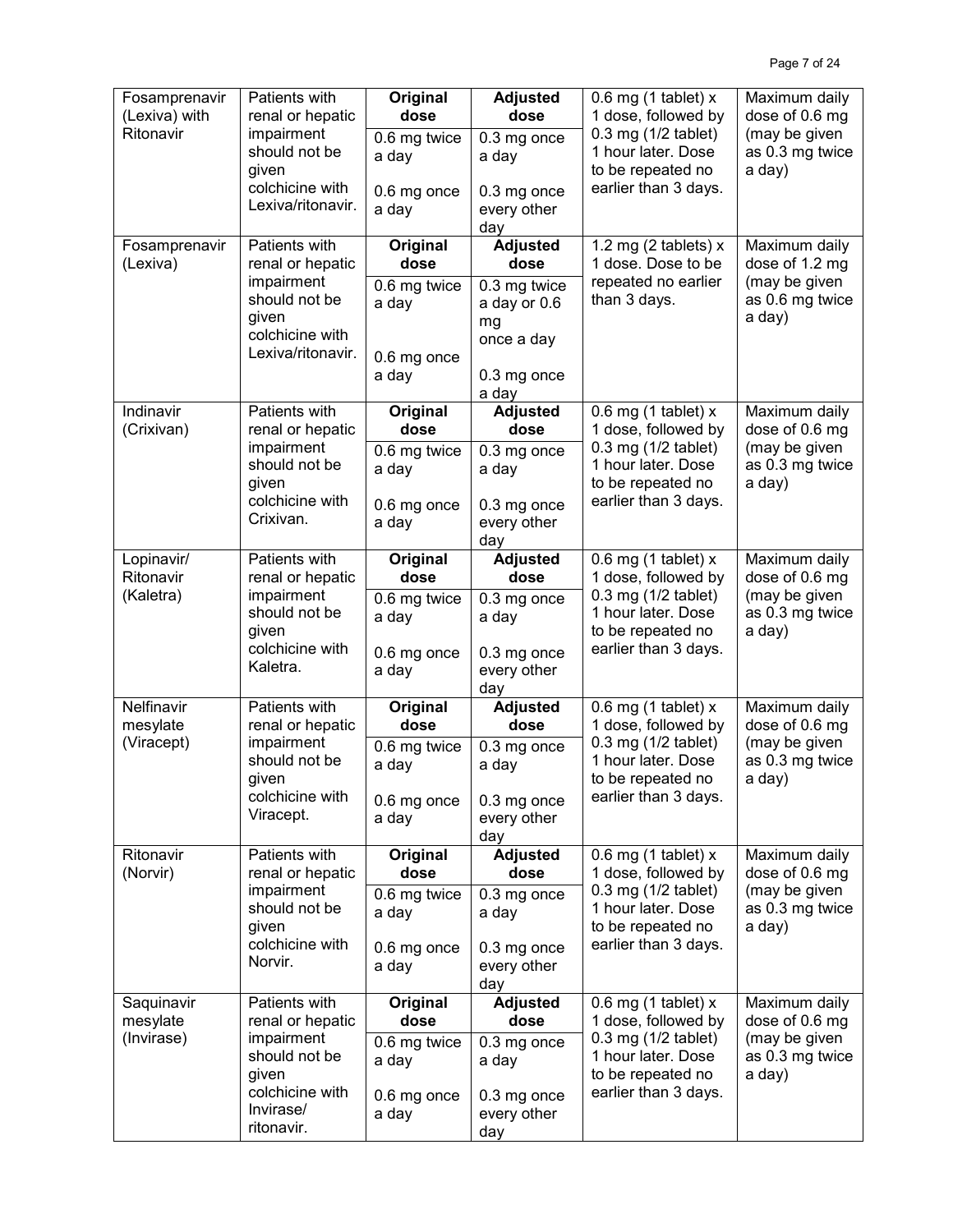| Fosamprenavir<br>(Lexiva) with<br>Ritonavir | Patients with<br>renal or hepatic<br>impairment<br>should not be<br>given<br>colchicine with<br>Lexiva/ritonavir.       | Original<br>dose<br>0.6 mg twice<br>a day<br>0.6 mg once<br>a day | <b>Adjusted</b><br>dose<br>$0.3$ mg once<br>a day<br>0.3 mg once<br>every other<br>day              | $0.6$ mg (1 tablet) x<br>1 dose, followed by<br>0.3 mg (1/2 tablet)<br>1 hour later. Dose<br>to be repeated no<br>earlier than 3 days.     | Maximum daily<br>dose of 0.6 mg<br>(may be given<br>as 0.3 mg twice<br>a day) |
|---------------------------------------------|-------------------------------------------------------------------------------------------------------------------------|-------------------------------------------------------------------|-----------------------------------------------------------------------------------------------------|--------------------------------------------------------------------------------------------------------------------------------------------|-------------------------------------------------------------------------------|
| Fosamprenavir<br>(Lexiva)                   | Patients with<br>renal or hepatic<br>impairment<br>should not be<br>given<br>colchicine with<br>Lexiva/ritonavir.       | Original<br>dose<br>0.6 mg twice<br>a day<br>0.6 mg once<br>a day | <b>Adjusted</b><br>dose<br>0.3 mg twice<br>a day or 0.6<br>mg<br>once a day<br>0.3 mg once<br>a day | 1.2 mg $(2$ tablets) $x$<br>1 dose. Dose to be<br>repeated no earlier<br>than 3 days.                                                      | Maximum daily<br>dose of 1.2 mg<br>(may be given<br>as 0.6 mg twice<br>a day) |
| Indinavir<br>(Crixivan)                     | Patients with<br>renal or hepatic<br>impairment<br>should not be<br>given<br>colchicine with<br>Crixivan.               | Original<br>dose<br>0.6 mg twice<br>a day<br>0.6 mg once<br>a day | <b>Adjusted</b><br>dose<br>0.3 mg once<br>a day<br>0.3 mg once<br>every other<br>day                | $0.6$ mg (1 tablet) x<br>1 dose, followed by<br>0.3 mg (1/2 tablet)<br>1 hour later. Dose<br>to be repeated no<br>earlier than 3 days.     | Maximum daily<br>dose of 0.6 mg<br>(may be given<br>as 0.3 mg twice<br>a day) |
| Lopinavir/<br>Ritonavir<br>(Kaletra)        | Patients with<br>renal or hepatic<br>impairment<br>should not be<br>given<br>colchicine with<br>Kaletra.                | Original<br>dose<br>0.6 mg twice<br>a day<br>0.6 mg once<br>a day | <b>Adjusted</b><br>dose<br>0.3 mg once<br>a day<br>0.3 mg once<br>every other<br>day                | $0.6$ mg (1 tablet) x<br>1 dose, followed by<br>0.3 mg (1/2 tablet)<br>1 hour later. Dose<br>to be repeated no<br>earlier than 3 days.     | Maximum daily<br>dose of 0.6 mg<br>(may be given<br>as 0.3 mg twice<br>a day) |
| Nelfinavir<br>mesylate<br>(Viracept)        | Patients with<br>renal or hepatic<br>impairment<br>should not be<br>given<br>colchicine with<br>Viracept.               | Original<br>dose<br>0.6 mg twice<br>a day<br>0.6 mg once<br>a day | <b>Adjusted</b><br>dose<br>0.3 mg once<br>a day<br>0.3 mg once<br>every other<br>day                | $0.6$ mg (1 tablet) x<br>1 dose, followed by<br>$0.3$ mg $(1/2$ tablet)<br>1 hour later. Dose<br>to be repeated no<br>earlier than 3 days. | Maximum daily<br>dose of 0.6 mg<br>(may be given<br>as 0.3 mg twice<br>a day) |
| Ritonavir<br>(Norvir)                       | Patients with<br>renal or hepatic<br>impairment<br>should not be<br>given<br>colchicine with<br>Norvir.                 | Original<br>dose<br>0.6 mg twice<br>a day<br>0.6 mg once<br>a day | <b>Adjusted</b><br>dose<br>0.3 mg once<br>a day<br>0.3 mg once<br>every other<br>day                | $0.6$ mg (1 tablet) x<br>1 dose, followed by<br>0.3 mg (1/2 tablet)<br>1 hour later. Dose<br>to be repeated no<br>earlier than 3 days.     | Maximum daily<br>dose of 0.6 mg<br>(may be given<br>as 0.3 mg twice<br>a day) |
| Saquinavir<br>mesylate<br>(Invirase)        | Patients with<br>renal or hepatic<br>impairment<br>should not be<br>given<br>colchicine with<br>Invirase/<br>ritonavir. | Original<br>dose<br>0.6 mg twice<br>a day<br>0.6 mg once<br>a day | <b>Adjusted</b><br>dose<br>0.3 mg once<br>a day<br>0.3 mg once<br>every other<br>day                | 0.6 mg (1 tablet) $x$<br>1 dose, followed by<br>0.3 mg (1/2 tablet)<br>1 hour later. Dose<br>to be repeated no<br>earlier than 3 days.     | Maximum daily<br>dose of 0.6 mg<br>(may be given<br>as 0.3 mg twice<br>a day) |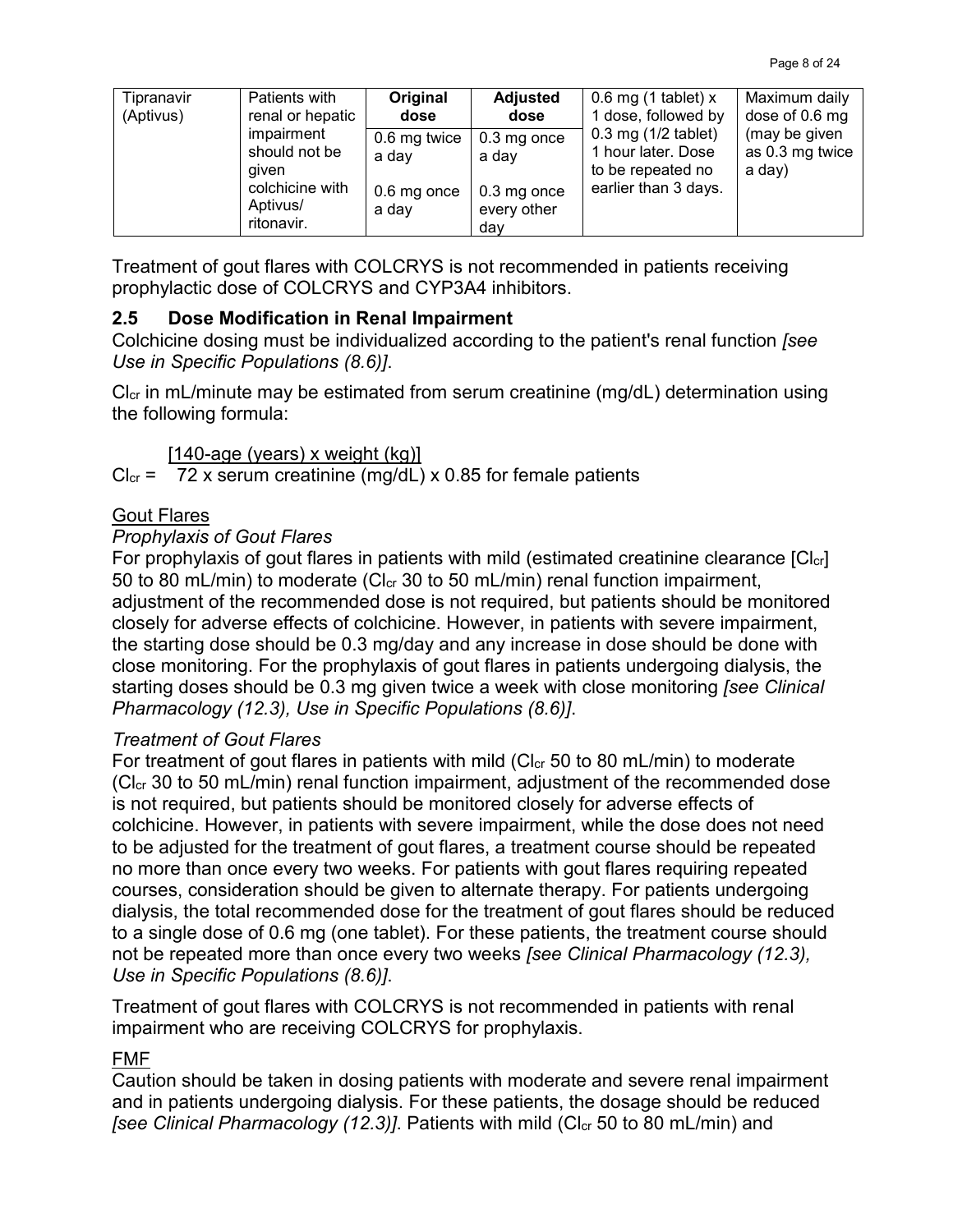| Patients with<br>Tipranavir<br>(Aptivus)<br>renal or hepatic | Original<br>dose                                                                  | <b>Adjusted</b><br>dose                       | 0.6 mg $(1$ tablet) x<br>1 dose, followed by              | Maximum daily<br>dose of 0.6 mg                                                            |                                            |
|--------------------------------------------------------------|-----------------------------------------------------------------------------------|-----------------------------------------------|-----------------------------------------------------------|--------------------------------------------------------------------------------------------|--------------------------------------------|
|                                                              | impairment<br>should not be<br>given<br>colchicine with<br>Aptivus/<br>ritonavir. | 0.6 mg twice<br>a day<br>0.6 mg once<br>a day | 0.3 mg once<br>a day<br>0.3 mg once<br>every other<br>day | $0.3$ mg $(1/2$ tablet)<br>1 hour later, Dose<br>to be repeated no<br>earlier than 3 days. | (may be given<br>as 0.3 mg twice<br>a day) |

Treatment of gout flares with COLCRYS is not recommended in patients receiving prophylactic dose of COLCRYS and CYP3A4 inhibitors.

# **2.5 Dose Modification in Renal Impairment**

Colchicine dosing must be individualized according to the patient's renal function *[see Use in Specific Populations (8.6)]*.

 $Cl<sub>cr</sub>$  in mL/minute may be estimated from serum creatinine (mg/dL) determination using the following formula:

[140-age (years) x weight (kg)]

 $Cl_{cr}$  = 72 x serum creatinine (mg/dL) x 0.85 for female patients

# Gout Flares

# *Prophylaxis of Gout Flares*

For prophylaxis of gout flares in patients with mild (estimated creatinine clearance  $\text{[Cl}_{cr}$ ) 50 to 80 mL/min) to moderate (C $l_{cr}$  30 to 50 mL/min) renal function impairment, adjustment of the recommended dose is not required, but patients should be monitored closely for adverse effects of colchicine. However, in patients with severe impairment, the starting dose should be 0.3 mg/day and any increase in dose should be done with close monitoring. For the prophylaxis of gout flares in patients undergoing dialysis, the starting doses should be 0.3 mg given twice a week with close monitoring *[see Clinical Pharmacology (12.3), Use in Specific Populations (8.6)]*.

# *Treatment of Gout Flares*

For treatment of gout flares in patients with mild (Cl $_{cr}$  50 to 80 mL/min) to moderate (Clcr 30 to 50 mL/min) renal function impairment, adjustment of the recommended dose is not required, but patients should be monitored closely for adverse effects of colchicine. However, in patients with severe impairment, while the dose does not need to be adjusted for the treatment of gout flares, a treatment course should be repeated no more than once every two weeks. For patients with gout flares requiring repeated courses, consideration should be given to alternate therapy. For patients undergoing dialysis, the total recommended dose for the treatment of gout flares should be reduced to a single dose of 0.6 mg (one tablet). For these patients, the treatment course should not be repeated more than once every two weeks *[see Clinical Pharmacology (12.3), Use in Specific Populations (8.6)]*.

Treatment of gout flares with COLCRYS is not recommended in patients with renal impairment who are receiving COLCRYS for prophylaxis.

# FMF

Caution should be taken in dosing patients with moderate and severe renal impairment and in patients undergoing dialysis. For these patients, the dosage should be reduced *[see Clinical Pharmacology (12.3)]*. Patients with mild (Cl<sub>cr</sub> 50 to 80 mL/min) and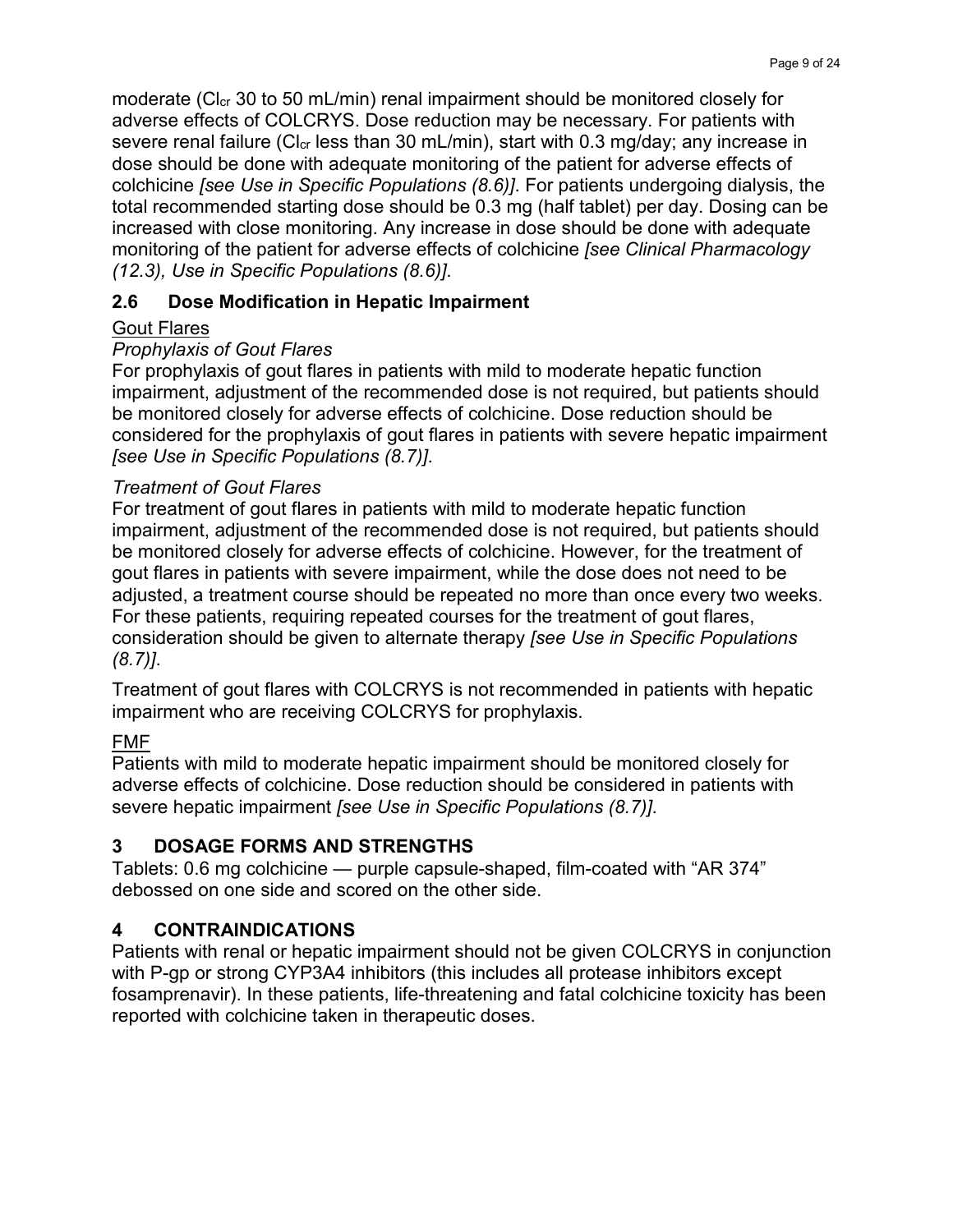moderate (Cl<sub>cr</sub> 30 to 50 mL/min) renal impairment should be monitored closely for adverse effects of COLCRYS. Dose reduction may be necessary. For patients with severe renal failure (Cl<sub>cr</sub> less than 30 mL/min), start with 0.3 mg/day; any increase in dose should be done with adequate monitoring of the patient for adverse effects of colchicine *[see Use in Specific Populations (8.6)]*. For patients undergoing dialysis, the total recommended starting dose should be 0.3 mg (half tablet) per day. Dosing can be increased with close monitoring. Any increase in dose should be done with adequate monitoring of the patient for adverse effects of colchicine *[see Clinical Pharmacology (12.3), Use in Specific Populations (8.6)]*.

# **2.6 Dose Modification in Hepatic Impairment**

# Gout Flares

# *Prophylaxis of Gout Flares*

For prophylaxis of gout flares in patients with mild to moderate hepatic function impairment, adjustment of the recommended dose is not required, but patients should be monitored closely for adverse effects of colchicine. Dose reduction should be considered for the prophylaxis of gout flares in patients with severe hepatic impairment *[see Use in Specific Populations (8.7)]*.

## *Treatment of Gout Flares*

For treatment of gout flares in patients with mild to moderate hepatic function impairment, adjustment of the recommended dose is not required, but patients should be monitored closely for adverse effects of colchicine. However, for the treatment of gout flares in patients with severe impairment, while the dose does not need to be adjusted, a treatment course should be repeated no more than once every two weeks. For these patients, requiring repeated courses for the treatment of gout flares, consideration should be given to alternate therapy *[see Use in Specific Populations (8.7)]*.

Treatment of gout flares with COLCRYS is not recommended in patients with hepatic impairment who are receiving COLCRYS for prophylaxis.

# FMF

Patients with mild to moderate hepatic impairment should be monitored closely for adverse effects of colchicine. Dose reduction should be considered in patients with severe hepatic impairment *[see Use in Specific Populations (8.7)]*.

# **3 DOSAGE FORMS AND STRENGTHS**

Tablets: 0.6 mg colchicine — purple capsule-shaped, film-coated with "AR 374" debossed on one side and scored on the other side.

# **4 CONTRAINDICATIONS**

Patients with renal or hepatic impairment should not be given COLCRYS in conjunction with P-gp or strong CYP3A4 inhibitors (this includes all protease inhibitors except fosamprenavir). In these patients, life-threatening and fatal colchicine toxicity has been reported with colchicine taken in therapeutic doses.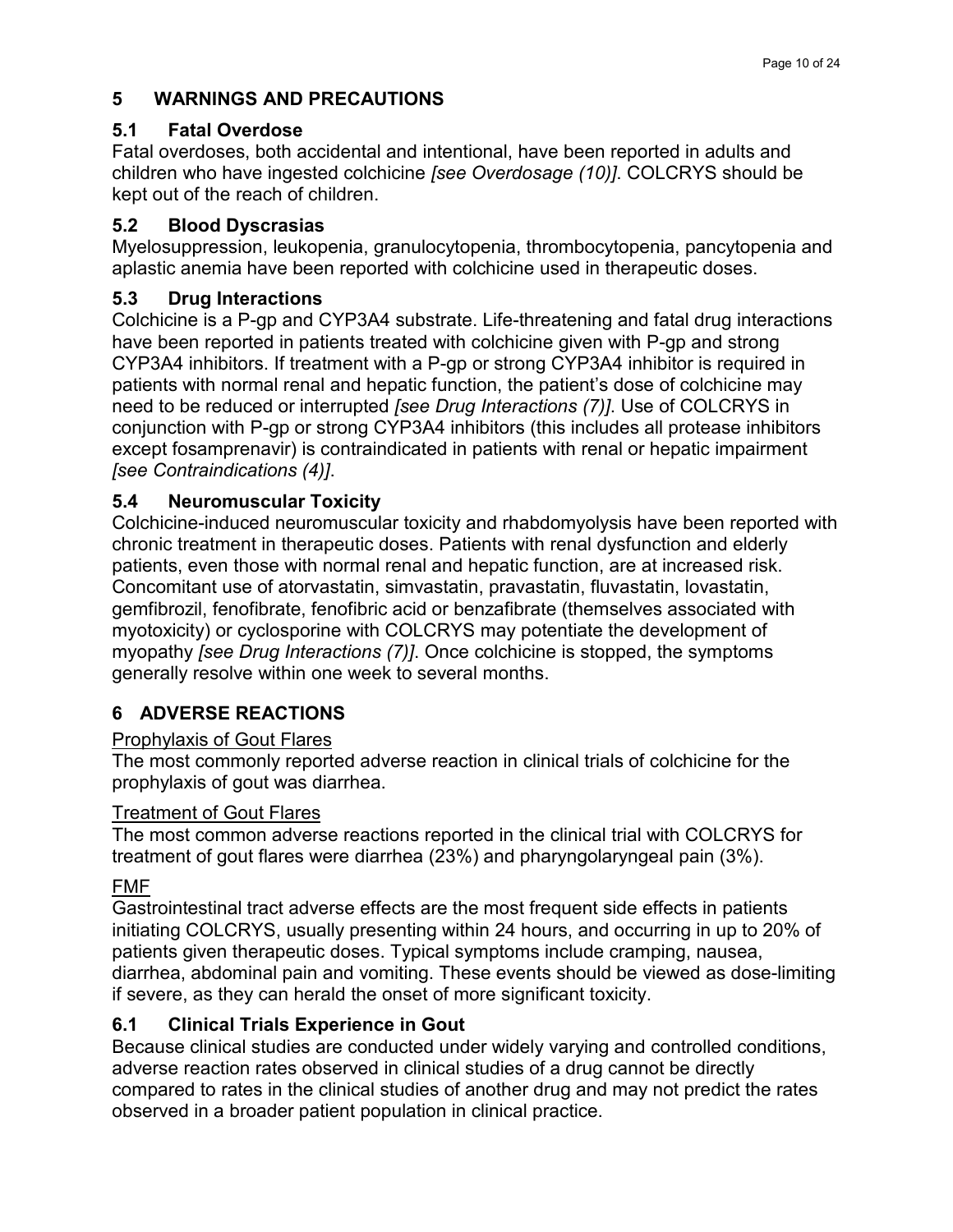# **5 WARNINGS AND PRECAUTIONS**

# **5.1 Fatal Overdose**

Fatal overdoses, both accidental and intentional, have been reported in adults and children who have ingested colchicine *[see Overdosage (10)]*. COLCRYS should be kept out of the reach of children.

# **5.2 Blood Dyscrasias**

Myelosuppression, leukopenia, granulocytopenia, thrombocytopenia, pancytopenia and aplastic anemia have been reported with colchicine used in therapeutic doses.

# **5.3 Drug Interactions**

Colchicine is a P-gp and CYP3A4 substrate. Life-threatening and fatal drug interactions have been reported in patients treated with colchicine given with P-gp and strong CYP3A4 inhibitors. If treatment with a P-gp or strong CYP3A4 inhibitor is required in patients with normal renal and hepatic function, the patient's dose of colchicine may need to be reduced or interrupted *[see Drug Interactions (7)]*. Use of COLCRYS in conjunction with P-gp or strong CYP3A4 inhibitors (this includes all protease inhibitors except fosamprenavir) is contraindicated in patients with renal or hepatic impairment *[see Contraindications (4)]*.

# **5.4 Neuromuscular Toxicity**

Colchicine-induced neuromuscular toxicity and rhabdomyolysis have been reported with chronic treatment in therapeutic doses. Patients with renal dysfunction and elderly patients, even those with normal renal and hepatic function, are at increased risk. Concomitant use of atorvastatin, simvastatin, pravastatin, fluvastatin, lovastatin, gemfibrozil, fenofibrate, fenofibric acid or benzafibrate (themselves associated with myotoxicity) or cyclosporine with COLCRYS may potentiate the development of myopathy *[see Drug Interactions (7)]*. Once colchicine is stopped, the symptoms generally resolve within one week to several months.

# **6 ADVERSE REACTIONS**

# Prophylaxis of Gout Flares

The most commonly reported adverse reaction in clinical trials of colchicine for the prophylaxis of gout was diarrhea.

# Treatment of Gout Flares

The most common adverse reactions reported in the clinical trial with COLCRYS for treatment of gout flares were diarrhea (23%) and pharyngolaryngeal pain (3%).

# FMF

Gastrointestinal tract adverse effects are the most frequent side effects in patients initiating COLCRYS, usually presenting within 24 hours, and occurring in up to 20% of patients given therapeutic doses. Typical symptoms include cramping, nausea, diarrhea, abdominal pain and vomiting. These events should be viewed as dose-limiting if severe, as they can herald the onset of more significant toxicity.

# **6.1 Clinical Trials Experience in Gout**

Because clinical studies are conducted under widely varying and controlled conditions, adverse reaction rates observed in clinical studies of a drug cannot be directly compared to rates in the clinical studies of another drug and may not predict the rates observed in a broader patient population in clinical practice.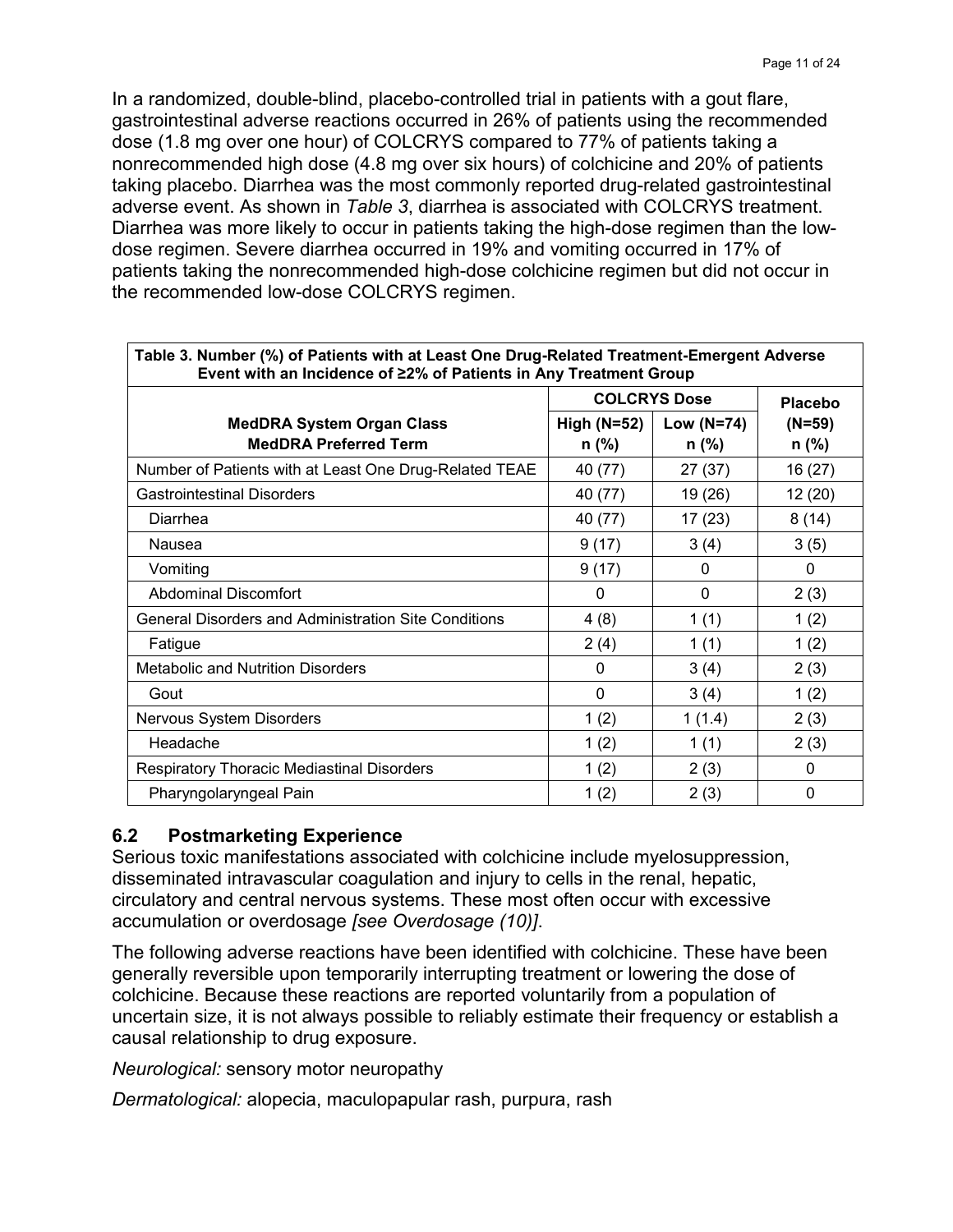In a randomized, double-blind, placebo-controlled trial in patients with a gout flare, gastrointestinal adverse reactions occurred in 26% of patients using the recommended dose (1.8 mg over one hour) of COLCRYS compared to 77% of patients taking a nonrecommended high dose (4.8 mg over six hours) of colchicine and 20% of patients taking placebo. Diarrhea was the most commonly reported drug-related gastrointestinal adverse event. As shown in *Table 3*, diarrhea is associated with COLCRYS treatment. Diarrhea was more likely to occur in patients taking the high-dose regimen than the lowdose regimen. Severe diarrhea occurred in 19% and vomiting occurred in 17% of patients taking the nonrecommended high-dose colchicine regimen but did not occur in the recommended low-dose COLCRYS regimen.

| Table 3. Number (%) of Patients with at Least One Drug-Related Treatment-Emergent Adverse<br>Event with an Incidence of ≥2% of Patients in Any Treatment Group |                          |                     |                     |  |  |
|----------------------------------------------------------------------------------------------------------------------------------------------------------------|--------------------------|---------------------|---------------------|--|--|
|                                                                                                                                                                |                          | <b>COLCRYS Dose</b> | <b>Placebo</b>      |  |  |
| <b>MedDRA System Organ Class</b><br><b>MedDRA Preferred Term</b>                                                                                               | High $(N=52)$<br>$n$ (%) | Low (N=74)<br>n (%) | $(N=59)$<br>$n$ (%) |  |  |
| Number of Patients with at Least One Drug-Related TEAE                                                                                                         | 40 (77)                  | 27 (37)             | 16(27)              |  |  |
| <b>Gastrointestinal Disorders</b>                                                                                                                              | 40 (77)                  | 19 (26)             | 12(20)              |  |  |
| Diarrhea                                                                                                                                                       | 40 (77)                  | 17(23)              | 8(14)               |  |  |
| <b>Nausea</b>                                                                                                                                                  | 9(17)                    | 3(4)                | 3(5)                |  |  |
| Vomiting                                                                                                                                                       | 9(17)                    | $\mathbf{0}$        | $\mathbf{0}$        |  |  |
| <b>Abdominal Discomfort</b>                                                                                                                                    | $\mathbf{0}$             | $\mathbf{0}$        | 2(3)                |  |  |
| <b>General Disorders and Administration Site Conditions</b>                                                                                                    | 4(8)                     | 1(1)                | 1(2)                |  |  |
| Fatigue                                                                                                                                                        | 2(4)                     | 1(1)                | 1(2)                |  |  |
| <b>Metabolic and Nutrition Disorders</b>                                                                                                                       | 0                        | 3(4)                | 2(3)                |  |  |
| Gout                                                                                                                                                           | 0                        | 3(4)                | 1(2)                |  |  |
| Nervous System Disorders                                                                                                                                       | 1(2)                     | 1(1.4)              | 2(3)                |  |  |
| Headache                                                                                                                                                       | 1(2)                     | 1(1)                | 2(3)                |  |  |
| <b>Respiratory Thoracic Mediastinal Disorders</b>                                                                                                              | 1(2)                     | 2(3)                | 0                   |  |  |
| Pharyngolaryngeal Pain                                                                                                                                         | 1(2)                     | 2(3)                | $\mathbf{0}$        |  |  |

# **6.2 Postmarketing Experience**

Serious toxic manifestations associated with colchicine include myelosuppression, disseminated intravascular coagulation and injury to cells in the renal, hepatic, circulatory and central nervous systems. These most often occur with excessive accumulation or overdosage *[see Overdosage (10)]*.

The following adverse reactions have been identified with colchicine. These have been generally reversible upon temporarily interrupting treatment or lowering the dose of colchicine. Because these reactions are reported voluntarily from a population of uncertain size, it is not always possible to reliably estimate their frequency or establish a causal relationship to drug exposure.

*Neurological:* sensory motor neuropathy

*Dermatological:* alopecia, maculopapular rash, purpura, rash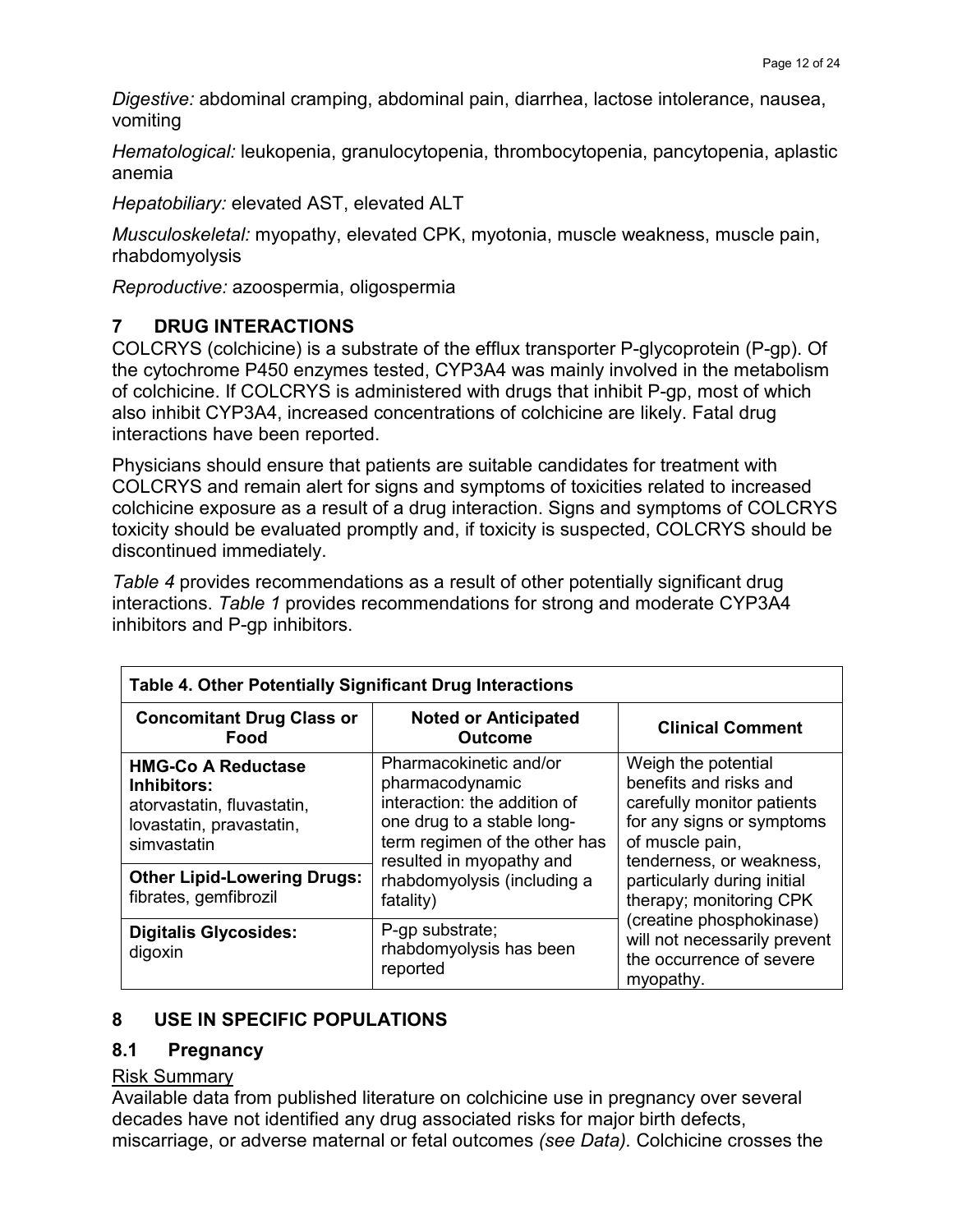*Digestive:* abdominal cramping, abdominal pain, diarrhea, lactose intolerance, nausea, vomiting

*Hematological:* leukopenia, granulocytopenia, thrombocytopenia, pancytopenia, aplastic anemia

*Hepatobiliary:* elevated AST, elevated ALT

*Musculoskeletal:* myopathy, elevated CPK, myotonia, muscle weakness, muscle pain, rhabdomyolysis

*Reproductive:* azoospermia, oligospermia

#### **7 DRUG INTERACTIONS**

COLCRYS (colchicine) is a substrate of the efflux transporter P-glycoprotein (P-gp). Of the cytochrome P450 enzymes tested, CYP3A4 was mainly involved in the metabolism of colchicine. If COLCRYS is administered with drugs that inhibit P-gp, most of which also inhibit CYP3A4, increased concentrations of colchicine are likely. Fatal drug interactions have been reported.

Physicians should ensure that patients are suitable candidates for treatment with COLCRYS and remain alert for signs and symptoms of toxicities related to increased colchicine exposure as a result of a drug interaction. Signs and symptoms of COLCRYS toxicity should be evaluated promptly and, if toxicity is suspected, COLCRYS should be discontinued immediately.

*Table 4* provides recommendations as a result of other potentially significant drug interactions. *Table 1* provides recommendations for strong and moderate CYP3A4 inhibitors and P-gp inhibitors.

| Table 4. Other Potentially Significant Drug Interactions                                                          |                                                                                                                                                                      |                                                                                                                                                         |  |  |
|-------------------------------------------------------------------------------------------------------------------|----------------------------------------------------------------------------------------------------------------------------------------------------------------------|---------------------------------------------------------------------------------------------------------------------------------------------------------|--|--|
| <b>Concomitant Drug Class or</b><br>Food                                                                          | <b>Noted or Anticipated</b><br><b>Outcome</b>                                                                                                                        | <b>Clinical Comment</b>                                                                                                                                 |  |  |
| <b>HMG-Co A Reductase</b><br>Inhibitors:<br>atorvastatin, fluvastatin,<br>lovastatin, pravastatin,<br>simvastatin | Pharmacokinetic and/or<br>pharmacodynamic<br>interaction: the addition of<br>one drug to a stable long-<br>term regimen of the other has<br>resulted in myopathy and | Weigh the potential<br>benefits and risks and<br>carefully monitor patients<br>for any signs or symptoms<br>of muscle pain,<br>tenderness, or weakness, |  |  |
| <b>Other Lipid-Lowering Drugs:</b><br>fibrates, gemfibrozil                                                       | rhabdomyolysis (including a<br>fatality)                                                                                                                             | particularly during initial<br>therapy; monitoring CPK                                                                                                  |  |  |
| <b>Digitalis Glycosides:</b><br>digoxin                                                                           | P-gp substrate;<br>rhabdomyolysis has been<br>reported                                                                                                               | (creatine phosphokinase)<br>will not necessarily prevent<br>the occurrence of severe<br>myopathy.                                                       |  |  |

#### **8 USE IN SPECIFIC POPULATIONS**

#### **8.1 Pregnancy**

#### Risk Summary

Available data from published literature on colchicine use in pregnancy over several decades have not identified any drug associated risks for major birth defects, miscarriage, or adverse maternal or fetal outcomes *(see Data).* Colchicine crosses the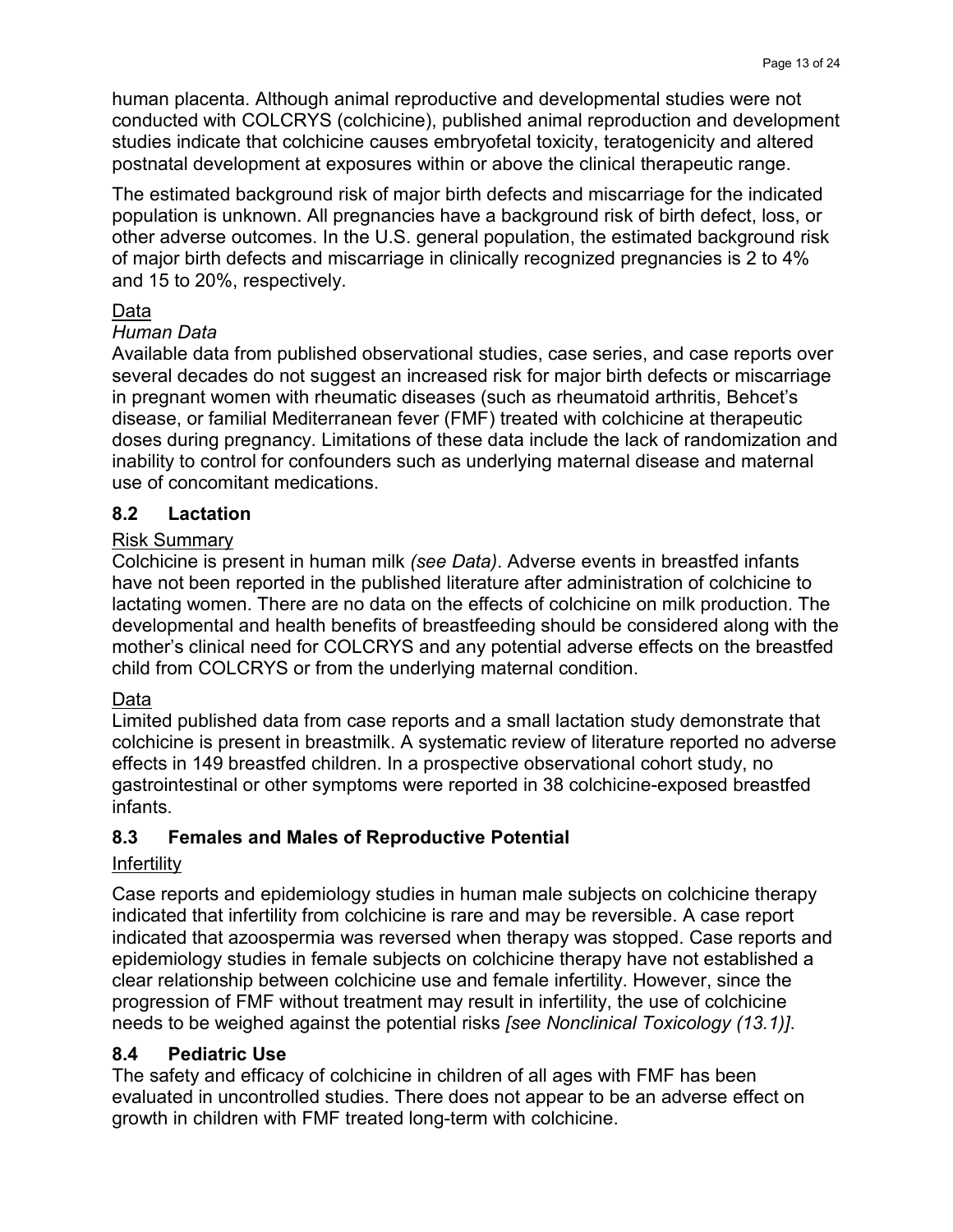human placenta. Although animal reproductive and developmental studies were not conducted with COLCRYS (colchicine), published animal reproduction and development studies indicate that colchicine causes embryofetal toxicity, teratogenicity and altered postnatal development at exposures within or above the clinical therapeutic range.

The estimated background risk of major birth defects and miscarriage for the indicated population is unknown. All pregnancies have a background risk of birth defect, loss, or other adverse outcomes. In the U.S. general population, the estimated background risk of major birth defects and miscarriage in clinically recognized pregnancies is 2 to 4% and 15 to 20%, respectively.

# Data

#### *Human Data*

Available data from published observational studies, case series, and case reports over several decades do not suggest an increased risk for major birth defects or miscarriage in pregnant women with rheumatic diseases (such as rheumatoid arthritis, Behcet's disease, or familial Mediterranean fever (FMF) treated with colchicine at therapeutic doses during pregnancy. Limitations of these data include the lack of randomization and inability to control for confounders such as underlying maternal disease and maternal use of concomitant medications.

# **8.2 Lactation**

#### Risk Summary

Colchicine is present in human milk *(see Data)*. Adverse events in breastfed infants have not been reported in the published literature after administration of colchicine to lactating women. There are no data on the effects of colchicine on milk production. The developmental and health benefits of breastfeeding should be considered along with the mother's clinical need for COLCRYS and any potential adverse effects on the breastfed child from COLCRYS or from the underlying maternal condition.

#### Data

Limited published data from case reports and a small lactation study demonstrate that colchicine is present in breastmilk. A systematic review of literature reported no adverse effects in 149 breastfed children. In a prospective observational cohort study, no gastrointestinal or other symptoms were reported in 38 colchicine-exposed breastfed infants.

# **8.3 Females and Males of Reproductive Potential**

#### Infertility

Case reports and epidemiology studies in human male subjects on colchicine therapy indicated that infertility from colchicine is rare and may be reversible. A case report indicated that azoospermia was reversed when therapy was stopped. Case reports and epidemiology studies in female subjects on colchicine therapy have not established a clear relationship between colchicine use and female infertility. However, since the progression of FMF without treatment may result in infertility, the use of colchicine needs to be weighed against the potential risks *[see Nonclinical Toxicology (13.1)]*.

# **8.4 Pediatric Use**

The safety and efficacy of colchicine in children of all ages with FMF has been evaluated in uncontrolled studies. There does not appear to be an adverse effect on growth in children with FMF treated long-term with colchicine.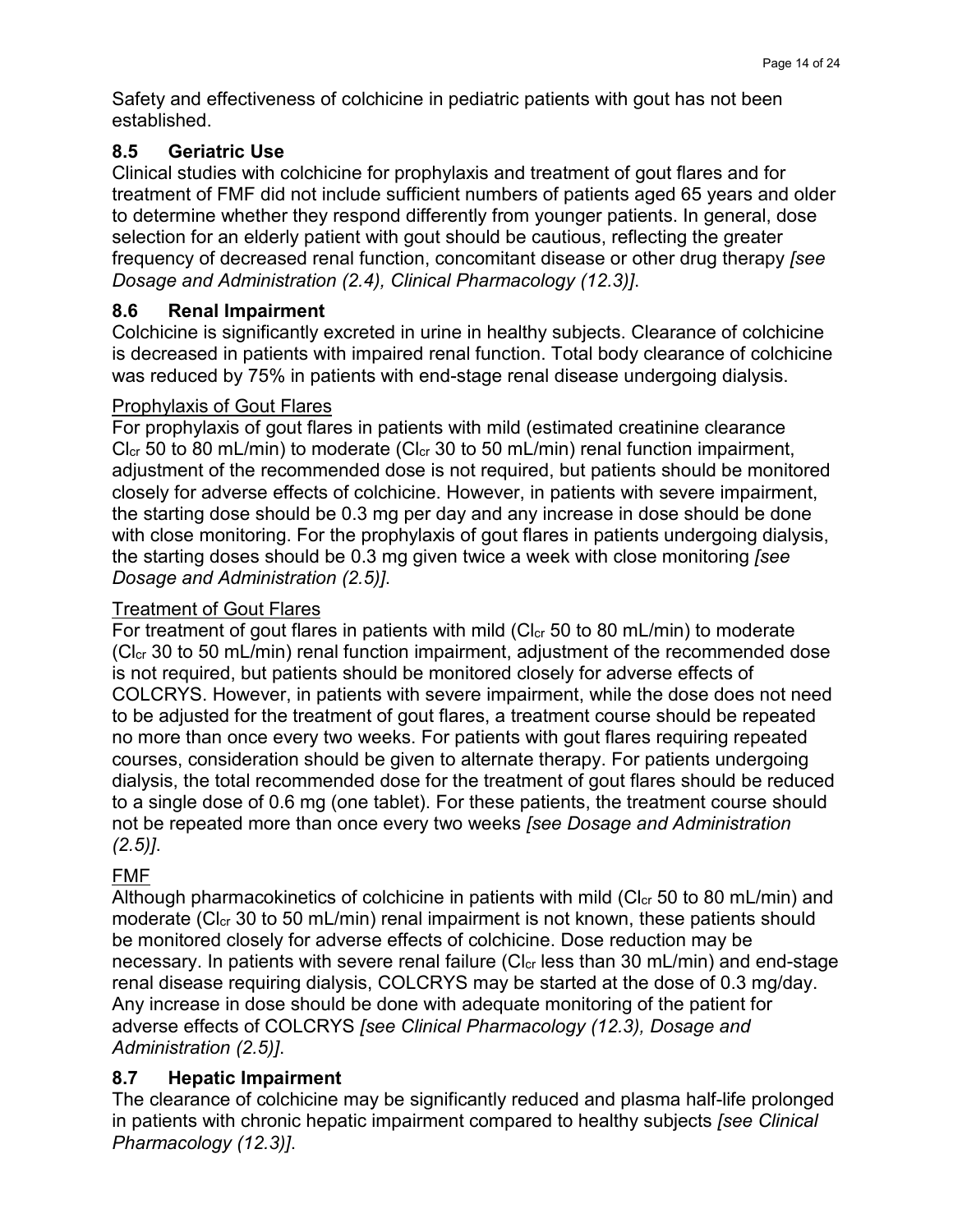Safety and effectiveness of colchicine in pediatric patients with gout has not been established.

# **8.5 Geriatric Use**

Clinical studies with colchicine for prophylaxis and treatment of gout flares and for treatment of FMF did not include sufficient numbers of patients aged 65 years and older to determine whether they respond differently from younger patients. In general, dose selection for an elderly patient with gout should be cautious, reflecting the greater frequency of decreased renal function, concomitant disease or other drug therapy *[see Dosage and Administration (2.4), Clinical Pharmacology (12.3)]*.

# **8.6 Renal Impairment**

Colchicine is significantly excreted in urine in healthy subjects. Clearance of colchicine is decreased in patients with impaired renal function. Total body clearance of colchicine was reduced by 75% in patients with end-stage renal disease undergoing dialysis.

# Prophylaxis of Gout Flares

For prophylaxis of gout flares in patients with mild (estimated creatinine clearance Cl<sub>cr</sub> 50 to 80 mL/min) to moderate (Cl<sub>cr</sub> 30 to 50 mL/min) renal function impairment, adjustment of the recommended dose is not required, but patients should be monitored closely for adverse effects of colchicine. However, in patients with severe impairment, the starting dose should be 0.3 mg per day and any increase in dose should be done with close monitoring. For the prophylaxis of gout flares in patients undergoing dialysis, the starting doses should be 0.3 mg given twice a week with close monitoring *[see Dosage and Administration (2.5)]*.

# Treatment of Gout Flares

For treatment of gout flares in patients with mild (Cl $_{cr}$  50 to 80 mL/min) to moderate  $(Cl<sub>cr</sub> 30$  to 50 mL/min) renal function impairment, adjustment of the recommended dose is not required, but patients should be monitored closely for adverse effects of COLCRYS. However, in patients with severe impairment, while the dose does not need to be adjusted for the treatment of gout flares, a treatment course should be repeated no more than once every two weeks. For patients with gout flares requiring repeated courses, consideration should be given to alternate therapy. For patients undergoing dialysis, the total recommended dose for the treatment of gout flares should be reduced to a single dose of 0.6 mg (one tablet). For these patients, the treatment course should not be repeated more than once every two weeks *[see Dosage and Administration (2.5)]*.

# FMF

Although pharmacokinetics of colchicine in patients with mild (Cl<sub>cr</sub> 50 to 80 mL/min) and moderate (Cl<sub>cr</sub> 30 to 50 mL/min) renal impairment is not known, these patients should be monitored closely for adverse effects of colchicine. Dose reduction may be necessary. In patients with severe renal failure (Cl<sub>cr</sub> less than 30 mL/min) and end-stage renal disease requiring dialysis, COLCRYS may be started at the dose of 0.3 mg/day. Any increase in dose should be done with adequate monitoring of the patient for adverse effects of COLCRYS *[see Clinical Pharmacology (12.3), Dosage and Administration (2.5)]*.

# **8.7 Hepatic Impairment**

The clearance of colchicine may be significantly reduced and plasma half-life prolonged in patients with chronic hepatic impairment compared to healthy subjects *[see Clinical Pharmacology (12.3)]*.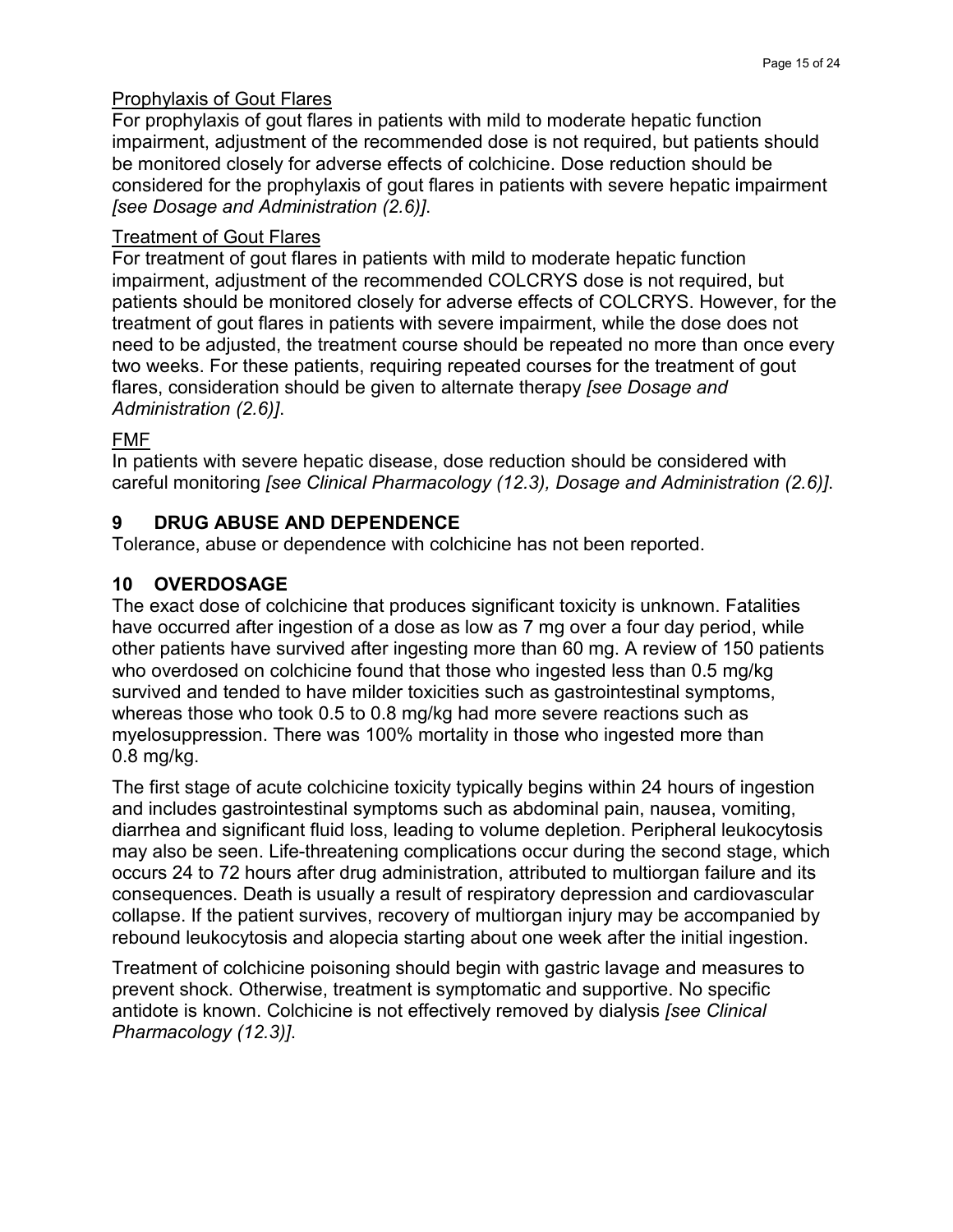#### Prophylaxis of Gout Flares

For prophylaxis of gout flares in patients with mild to moderate hepatic function impairment, adjustment of the recommended dose is not required, but patients should be monitored closely for adverse effects of colchicine. Dose reduction should be considered for the prophylaxis of gout flares in patients with severe hepatic impairment *[see Dosage and Administration (2.6)]*.

#### Treatment of Gout Flares

For treatment of gout flares in patients with mild to moderate hepatic function impairment, adjustment of the recommended COLCRYS dose is not required, but patients should be monitored closely for adverse effects of COLCRYS. However, for the treatment of gout flares in patients with severe impairment, while the dose does not need to be adjusted, the treatment course should be repeated no more than once every two weeks. For these patients, requiring repeated courses for the treatment of gout flares, consideration should be given to alternate therapy *[see Dosage and Administration (2.6)]*.

#### FMF

In patients with severe hepatic disease, dose reduction should be considered with careful monitoring *[see Clinical Pharmacology (12.3), Dosage and Administration (2.6)]*.

## **9 DRUG ABUSE AND DEPENDENCE**

Tolerance, abuse or dependence with colchicine has not been reported.

## **10 OVERDOSAGE**

The exact dose of colchicine that produces significant toxicity is unknown. Fatalities have occurred after ingestion of a dose as low as 7 mg over a four day period, while other patients have survived after ingesting more than 60 mg. A review of 150 patients who overdosed on colchicine found that those who ingested less than 0.5 mg/kg survived and tended to have milder toxicities such as gastrointestinal symptoms, whereas those who took 0.5 to 0.8 mg/kg had more severe reactions such as myelosuppression. There was 100% mortality in those who ingested more than 0.8 mg/kg.

The first stage of acute colchicine toxicity typically begins within 24 hours of ingestion and includes gastrointestinal symptoms such as abdominal pain, nausea, vomiting, diarrhea and significant fluid loss, leading to volume depletion. Peripheral leukocytosis may also be seen. Life-threatening complications occur during the second stage, which occurs 24 to 72 hours after drug administration, attributed to multiorgan failure and its consequences. Death is usually a result of respiratory depression and cardiovascular collapse. If the patient survives, recovery of multiorgan injury may be accompanied by rebound leukocytosis and alopecia starting about one week after the initial ingestion.

Treatment of colchicine poisoning should begin with gastric lavage and measures to prevent shock. Otherwise, treatment is symptomatic and supportive. No specific antidote is known. Colchicine is not effectively removed by dialysis *[see Clinical Pharmacology (12.3)]*.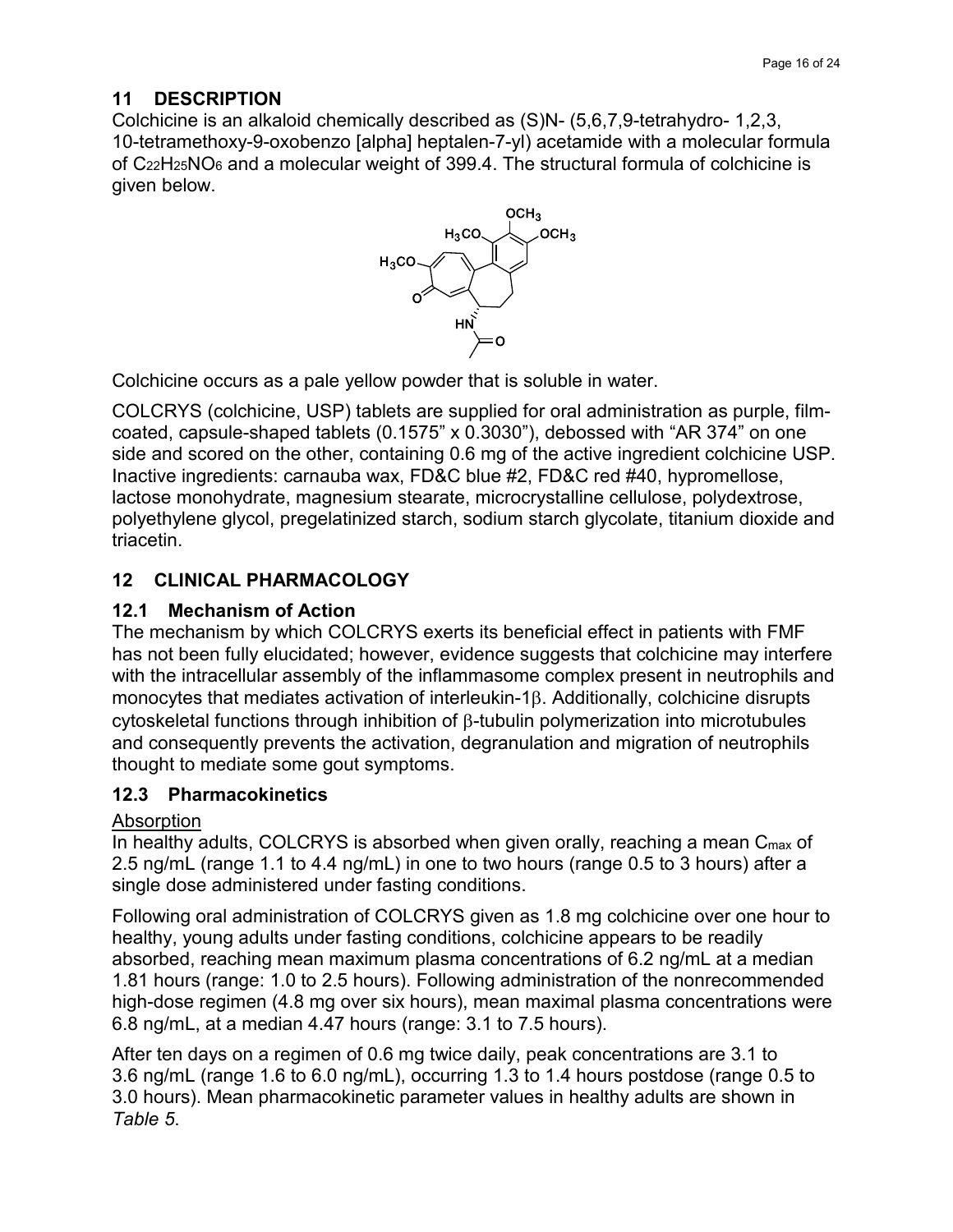## **11 DESCRIPTION**

Colchicine is an alkaloid chemically described as (S)N- (5,6,7,9-tetrahydro- 1,2,3, 10-tetramethoxy-9-oxobenzo [alpha] heptalen-7-yl) acetamide with a molecular formula of C22H25NO6 and a molecular weight of 399.4. The structural formula of colchicine is given below.



Colchicine occurs as a pale yellow powder that is soluble in water.

COLCRYS (colchicine, USP) tablets are supplied for oral administration as purple, filmcoated, capsule-shaped tablets (0.1575" x 0.3030"), debossed with "AR 374" on one side and scored on the other, containing 0.6 mg of the active ingredient colchicine USP. Inactive ingredients: carnauba wax, FD&C blue #2, FD&C red #40, hypromellose, lactose monohydrate, magnesium stearate, microcrystalline cellulose, polydextrose, polyethylene glycol, pregelatinized starch, sodium starch glycolate, titanium dioxide and triacetin.

# **12 CLINICAL PHARMACOLOGY**

## **12.1 Mechanism of Action**

The mechanism by which COLCRYS exerts its beneficial effect in patients with FMF has not been fully elucidated; however, evidence suggests that colchicine may interfere with the intracellular assembly of the inflammasome complex present in neutrophils and monocytes that mediates activation of interleukin-1β. Additionally, colchicine disrupts cytoskeletal functions through inhibition of β-tubulin polymerization into microtubules and consequently prevents the activation, degranulation and migration of neutrophils thought to mediate some gout symptoms.

#### **12.3 Pharmacokinetics**

#### Absorption

In healthy adults, COLCRYS is absorbed when given orally, reaching a mean  $C_{\text{max}}$  of 2.5 ng/mL (range 1.1 to 4.4 ng/mL) in one to two hours (range 0.5 to 3 hours) after a single dose administered under fasting conditions.

Following oral administration of COLCRYS given as 1.8 mg colchicine over one hour to healthy, young adults under fasting conditions, colchicine appears to be readily absorbed, reaching mean maximum plasma concentrations of 6.2 ng/mL at a median 1.81 hours (range: 1.0 to 2.5 hours). Following administration of the nonrecommended high-dose regimen (4.8 mg over six hours), mean maximal plasma concentrations were 6.8 ng/mL, at a median 4.47 hours (range: 3.1 to 7.5 hours).

After ten days on a regimen of 0.6 mg twice daily, peak concentrations are 3.1 to 3.6 ng/mL (range 1.6 to 6.0 ng/mL), occurring 1.3 to 1.4 hours postdose (range 0.5 to 3.0 hours). Mean pharmacokinetic parameter values in healthy adults are shown in *Table 5*.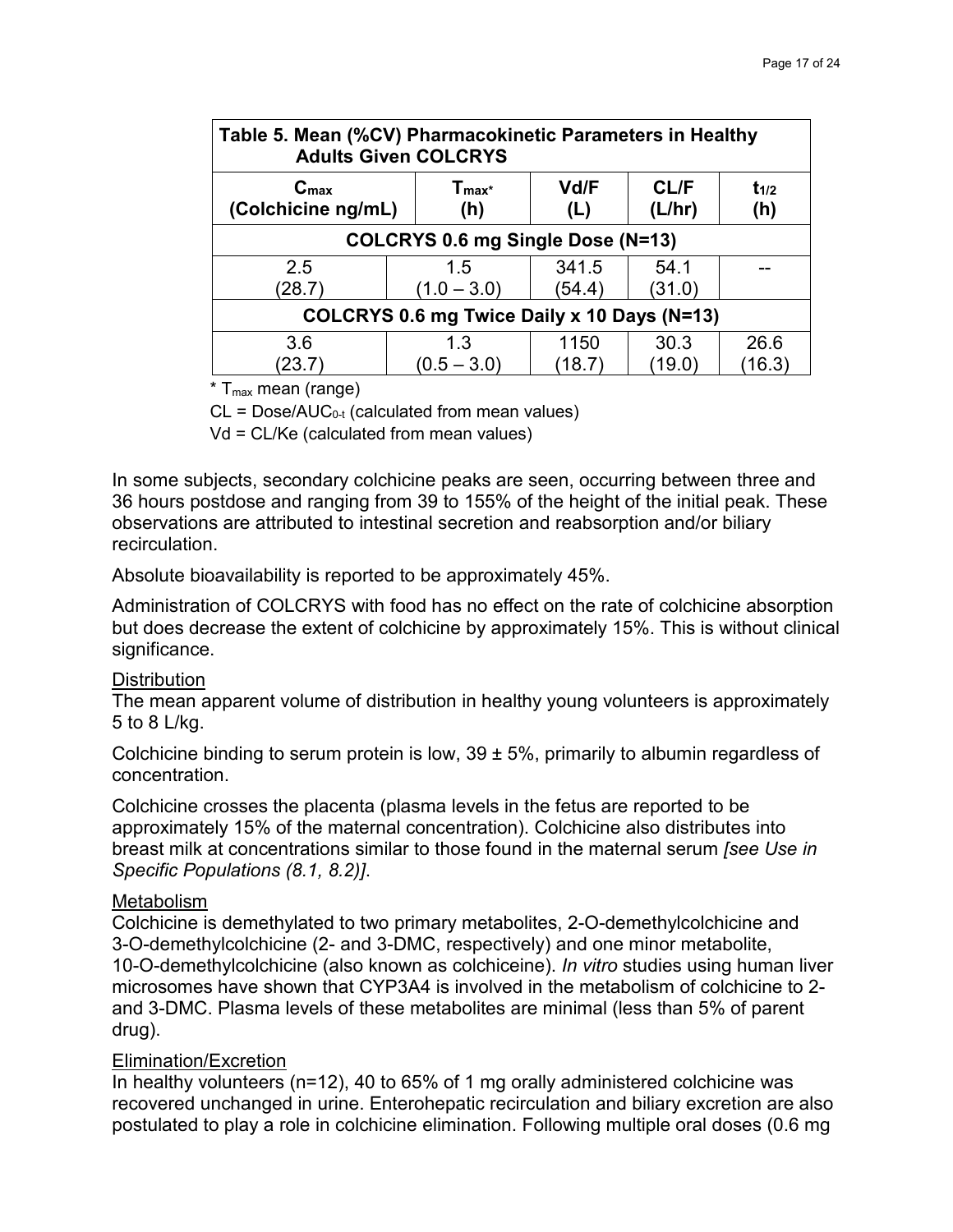| Table 5. Mean (%CV) Pharmacokinetic Parameters in Healthy<br><b>Adults Given COLCRYS</b> |                         |             |                |                  |  |  |
|------------------------------------------------------------------------------------------|-------------------------|-------------|----------------|------------------|--|--|
| $C_{\text{max}}$<br>(Colchicine ng/mL)                                                   | T <sub>max</sub><br>(h) | Vd/F<br>(L) | CL/F<br>(L/hr) | $t_{1/2}$<br>(h) |  |  |
| COLCRYS 0.6 mg Single Dose (N=13)                                                        |                         |             |                |                  |  |  |
| 2.5                                                                                      | 1.5                     | 341.5       | 54.1           |                  |  |  |
| (28.7)                                                                                   | $(1.0 - 3.0)$           | (54.4)      | (31.0)         |                  |  |  |
| COLCRYS 0.6 mg Twice Daily x 10 Days (N=13)                                              |                         |             |                |                  |  |  |
| 3.6                                                                                      | 1.3                     | 1150        | 30.3           | 26.6             |  |  |
| (23.7)                                                                                   | $(0.5-3.0)$             | (18.7)      | (19.0)         | 16.3             |  |  |

 $*$  T<sub>max</sub> mean (range)

 $CL = Doese/AUC<sub>0-t</sub> (calculated from mean values)$ 

Vd = CL/Ke (calculated from mean values)

In some subjects, secondary colchicine peaks are seen, occurring between three and 36 hours postdose and ranging from 39 to 155% of the height of the initial peak. These observations are attributed to intestinal secretion and reabsorption and/or biliary recirculation.

Absolute bioavailability is reported to be approximately 45%.

Administration of COLCRYS with food has no effect on the rate of colchicine absorption but does decrease the extent of colchicine by approximately 15%. This is without clinical significance.

#### **Distribution**

The mean apparent volume of distribution in healthy young volunteers is approximately 5 to 8 L/kg.

Colchicine binding to serum protein is low,  $39 \pm 5\%$ , primarily to albumin regardless of concentration.

Colchicine crosses the placenta (plasma levels in the fetus are reported to be approximately 15% of the maternal concentration). Colchicine also distributes into breast milk at concentrations similar to those found in the maternal serum *[see Use in Specific Populations (8.1, 8.2)]*.

#### **Metabolism**

Colchicine is demethylated to two primary metabolites, 2-O-demethylcolchicine and 3-O-demethylcolchicine (2- and 3-DMC, respectively) and one minor metabolite, 10-O-demethylcolchicine (also known as colchiceine). *In vitro* studies using human liver microsomes have shown that CYP3A4 is involved in the metabolism of colchicine to 2 and 3-DMC. Plasma levels of these metabolites are minimal (less than 5% of parent drug).

#### Elimination/Excretion

In healthy volunteers (n=12), 40 to 65% of 1 mg orally administered colchicine was recovered unchanged in urine. Enterohepatic recirculation and biliary excretion are also postulated to play a role in colchicine elimination. Following multiple oral doses (0.6 mg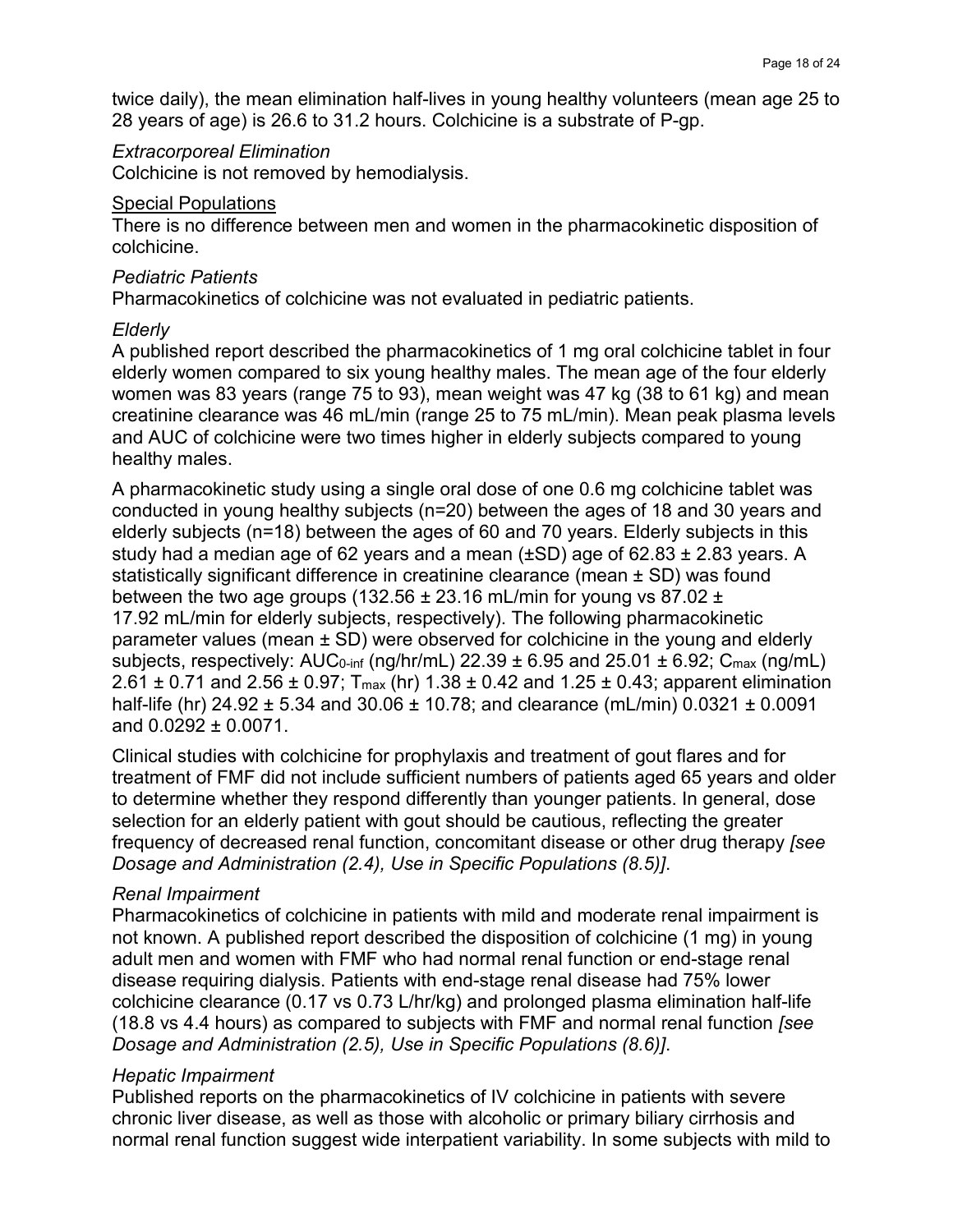twice daily), the mean elimination half-lives in young healthy volunteers (mean age 25 to 28 years of age) is 26.6 to 31.2 hours. Colchicine is a substrate of P-gp.

#### *Extracorporeal Elimination*

Colchicine is not removed by hemodialysis.

#### Special Populations

There is no difference between men and women in the pharmacokinetic disposition of colchicine.

#### *Pediatric Patients*

Pharmacokinetics of colchicine was not evaluated in pediatric patients.

#### *Elderly*

A published report described the pharmacokinetics of 1 mg oral colchicine tablet in four elderly women compared to six young healthy males. The mean age of the four elderly women was 83 years (range 75 to 93), mean weight was 47 kg (38 to 61 kg) and mean creatinine clearance was 46 mL/min (range 25 to 75 mL/min). Mean peak plasma levels and AUC of colchicine were two times higher in elderly subjects compared to young healthy males.

A pharmacokinetic study using a single oral dose of one 0.6 mg colchicine tablet was conducted in young healthy subjects (n=20) between the ages of 18 and 30 years and elderly subjects (n=18) between the ages of 60 and 70 years. Elderly subjects in this study had a median age of 62 years and a mean  $(\pm SD)$  age of 62.83  $\pm$  2.83 years. A statistically significant difference in creatinine clearance (mean ± SD) was found between the two age groups (132.56  $\pm$  23.16 mL/min for young vs 87.02  $\pm$ 17.92 mL/min for elderly subjects, respectively). The following pharmacokinetic parameter values (mean ± SD) were observed for colchicine in the young and elderly subjects, respectively:  $AUC_{0\text{-inf}}$  (ng/hr/mL) 22.39  $\pm$  6.95 and 25.01  $\pm$  6.92;  $C_{\text{max}}$  (ng/mL) 2.61  $\pm$  0.71 and 2.56  $\pm$  0.97; T<sub>max</sub> (hr) 1.38  $\pm$  0.42 and 1.25  $\pm$  0.43; apparent elimination half-life (hr) 24.92 ± 5.34 and 30.06 ± 10.78; and clearance (mL/min) 0.0321 ± 0.0091 and  $0.0292 \pm 0.0071$ .

Clinical studies with colchicine for prophylaxis and treatment of gout flares and for treatment of FMF did not include sufficient numbers of patients aged 65 years and older to determine whether they respond differently than younger patients. In general, dose selection for an elderly patient with gout should be cautious, reflecting the greater frequency of decreased renal function, concomitant disease or other drug therapy *[see Dosage and Administration (2.4), Use in Specific Populations (8.5)]*.

#### *Renal Impairment*

Pharmacokinetics of colchicine in patients with mild and moderate renal impairment is not known. A published report described the disposition of colchicine (1 mg) in young adult men and women with FMF who had normal renal function or end-stage renal disease requiring dialysis. Patients with end-stage renal disease had 75% lower colchicine clearance (0.17 vs 0.73 L/hr/kg) and prolonged plasma elimination half-life (18.8 vs 4.4 hours) as compared to subjects with FMF and normal renal function *[see Dosage and Administration (2.5), Use in Specific Populations (8.6)]*.

#### *Hepatic Impairment*

Published reports on the pharmacokinetics of IV colchicine in patients with severe chronic liver disease, as well as those with alcoholic or primary biliary cirrhosis and normal renal function suggest wide interpatient variability. In some subjects with mild to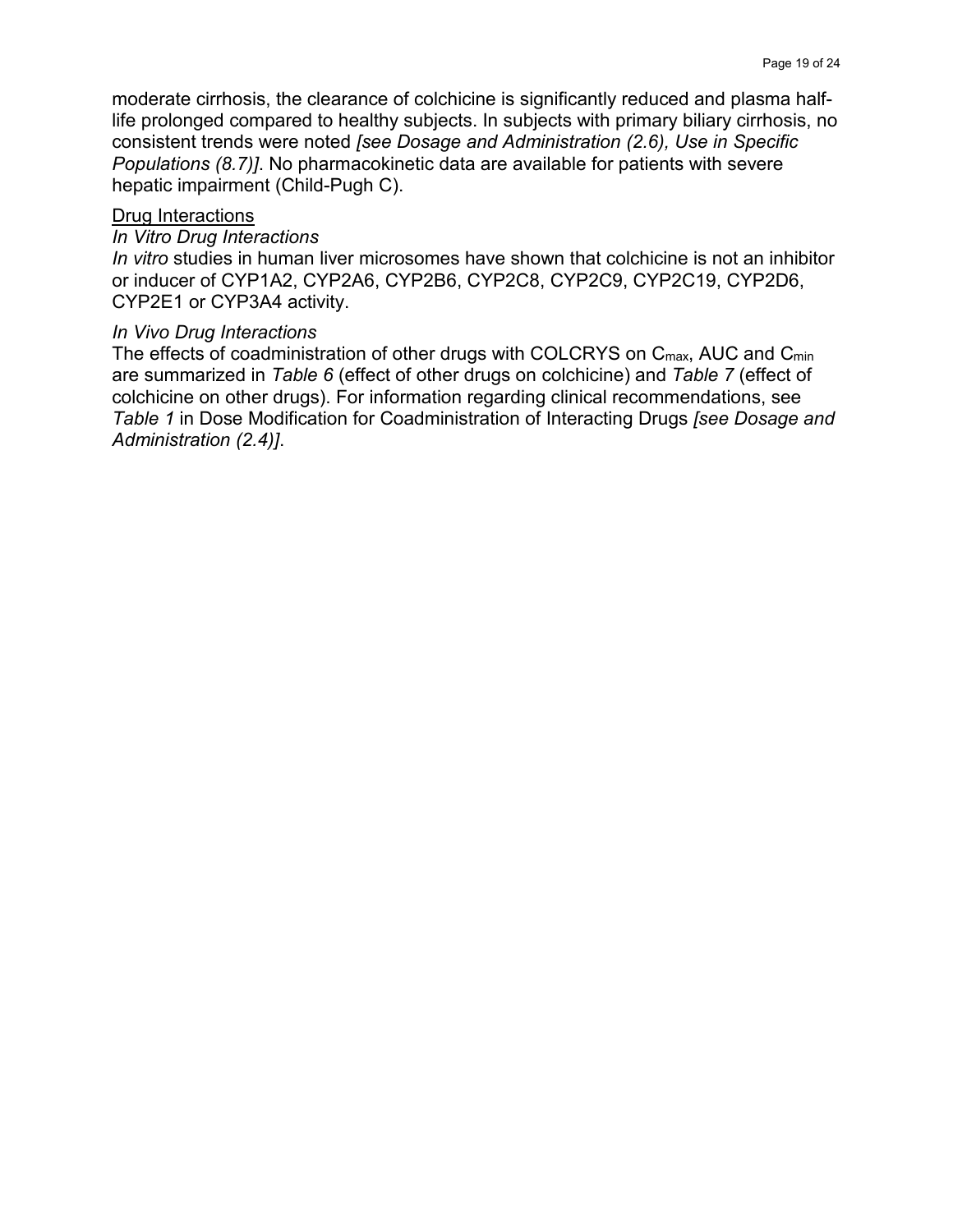moderate cirrhosis, the clearance of colchicine is significantly reduced and plasma halflife prolonged compared to healthy subjects. In subjects with primary biliary cirrhosis, no consistent trends were noted *[see Dosage and Administration (2.6), Use in Specific Populations (8.7)]*. No pharmacokinetic data are available for patients with severe hepatic impairment (Child-Pugh C).

#### Drug Interactions

#### *In Vitro Drug Interactions*

*In vitro* studies in human liver microsomes have shown that colchicine is not an inhibitor or inducer of CYP1A2, CYP2A6, CYP2B6, CYP2C8, CYP2C9, CYP2C19, CYP2D6, CYP2E1 or CYP3A4 activity.

#### *In Vivo Drug Interactions*

The effects of coadministration of other drugs with COLCRYS on C<sub>max</sub>, AUC and C<sub>min</sub> are summarized in *Table 6* (effect of other drugs on colchicine) and *Table 7* (effect of colchicine on other drugs). For information regarding clinical recommendations, see *Table 1* in Dose Modification for Coadministration of Interacting Drugs *[see Dosage and Administration (2.4)]*.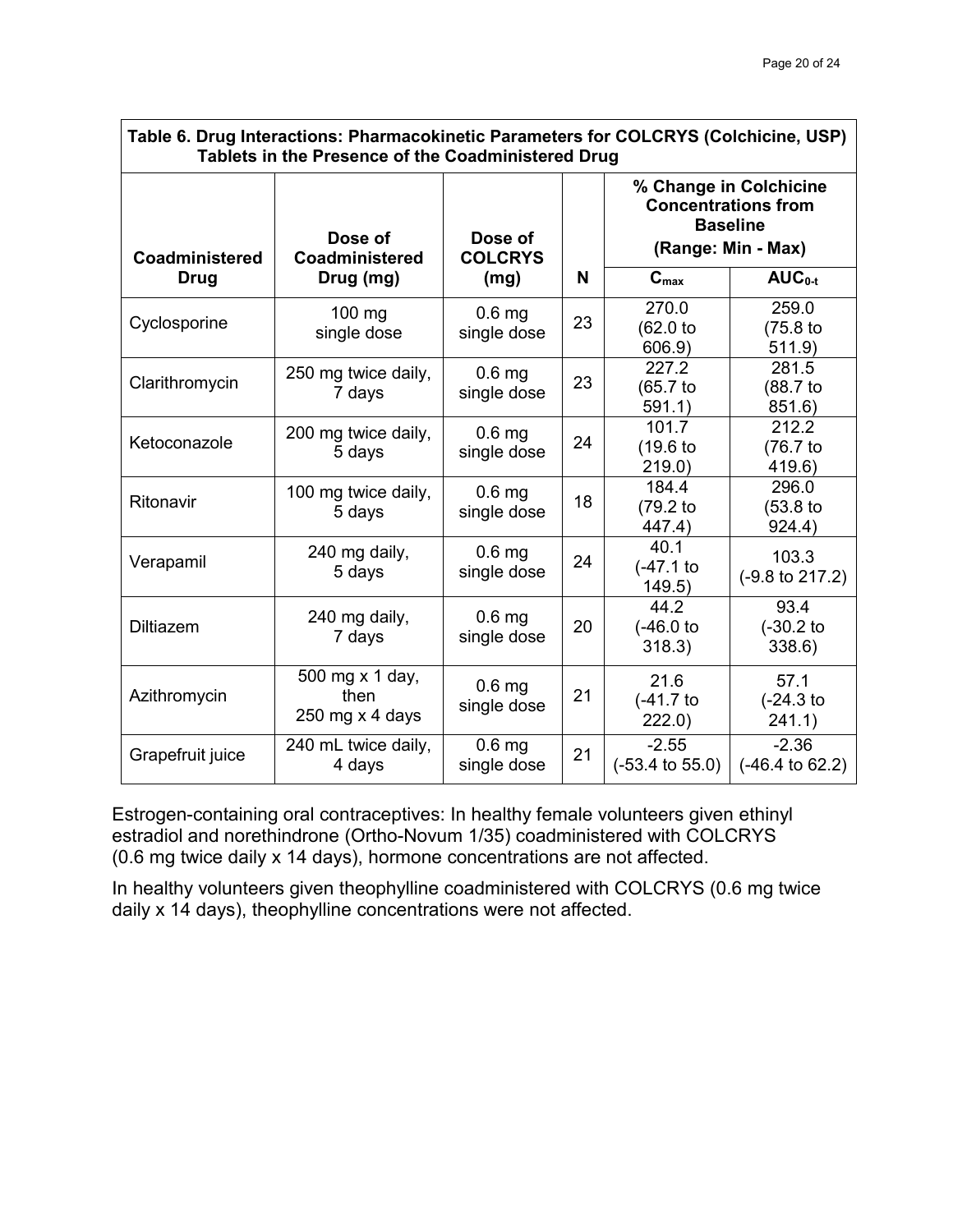| Table 6. Drug Interactions: Pharmacokinetic Parameters for COLCRYS (Colchicine, USP)<br>Tablets in the Presence of the Coadministered Drug |                                            |                                  |    |                                       |                                                                                               |  |
|--------------------------------------------------------------------------------------------------------------------------------------------|--------------------------------------------|----------------------------------|----|---------------------------------------|-----------------------------------------------------------------------------------------------|--|
| Coadministered                                                                                                                             | Dose of<br>Coadministered                  | Dose of<br><b>COLCRYS</b>        |    |                                       | % Change in Colchicine<br><b>Concentrations from</b><br><b>Baseline</b><br>(Range: Min - Max) |  |
| Drug                                                                                                                                       | Drug (mg)                                  | (mg)                             | N  | $C_{\text{max}}$                      | $AUC_{0-t}$                                                                                   |  |
| Cyclosporine                                                                                                                               | 100 mg<br>single dose                      | 0.6 <sub>mg</sub><br>single dose | 23 | 270.0<br>(62.0)<br>606.9)             | 259.0<br>(75.8 to<br>511.9)                                                                   |  |
| Clarithromycin                                                                                                                             | 250 mg twice daily,<br>7 days              | 0.6 <sub>mg</sub><br>single dose | 23 | 227.2<br>(65.7 to<br>591.1)           | 281.5<br>(88.7 to<br>851.6)                                                                   |  |
| Ketoconazole                                                                                                                               | 200 mg twice daily,<br>5 days              | 0.6 <sub>mg</sub><br>single dose | 24 | 101.7<br>(19.6)<br>219.0              | 212.2<br>(76.7 to<br>419.6)                                                                   |  |
| Ritonavir                                                                                                                                  | 100 mg twice daily,<br>5 days              | 0.6 <sub>mg</sub><br>single dose | 18 | 184.4<br>(79.2 to<br>447.4)           | 296.0<br>(53.8)<br>924.4)                                                                     |  |
| Verapamil                                                                                                                                  | 240 mg daily,<br>5 days                    | 0.6 <sub>mg</sub><br>single dose | 24 | 40.1<br>$(-47.1)$<br>149.5)           | 103.3<br>(-9.8 to 217.2)                                                                      |  |
| <b>Diltiazem</b>                                                                                                                           | 240 mg daily,<br>7 days                    | 0.6 <sub>mg</sub><br>single dose | 20 | 44.2<br>$(-46.0)$<br>318.3)           | 93.4<br>$(-30.2)$<br>338.6)                                                                   |  |
| Azithromycin                                                                                                                               | 500 mg x 1 day,<br>then<br>250 mg x 4 days | 0.6 <sub>mg</sub><br>single dose | 21 | 21.6<br>$(-41.7)$<br>222.0)           | 57.1<br>$(-24.3)$<br>241.1)                                                                   |  |
| Grapefruit juice                                                                                                                           | 240 mL twice daily,<br>4 days              | 0.6 <sub>mg</sub><br>single dose | 21 | $-2.55$<br>$(-53.4 \text{ to } 55.0)$ | $-2.36$<br>$(-46.4 \text{ to } 62.2)$                                                         |  |

Estrogen-containing oral contraceptives: In healthy female volunteers given ethinyl estradiol and norethindrone (Ortho-Novum 1/35) coadministered with COLCRYS (0.6 mg twice daily x 14 days), hormone concentrations are not affected.

In healthy volunteers given theophylline coadministered with COLCRYS (0.6 mg twice daily x 14 days), theophylline concentrations were not affected.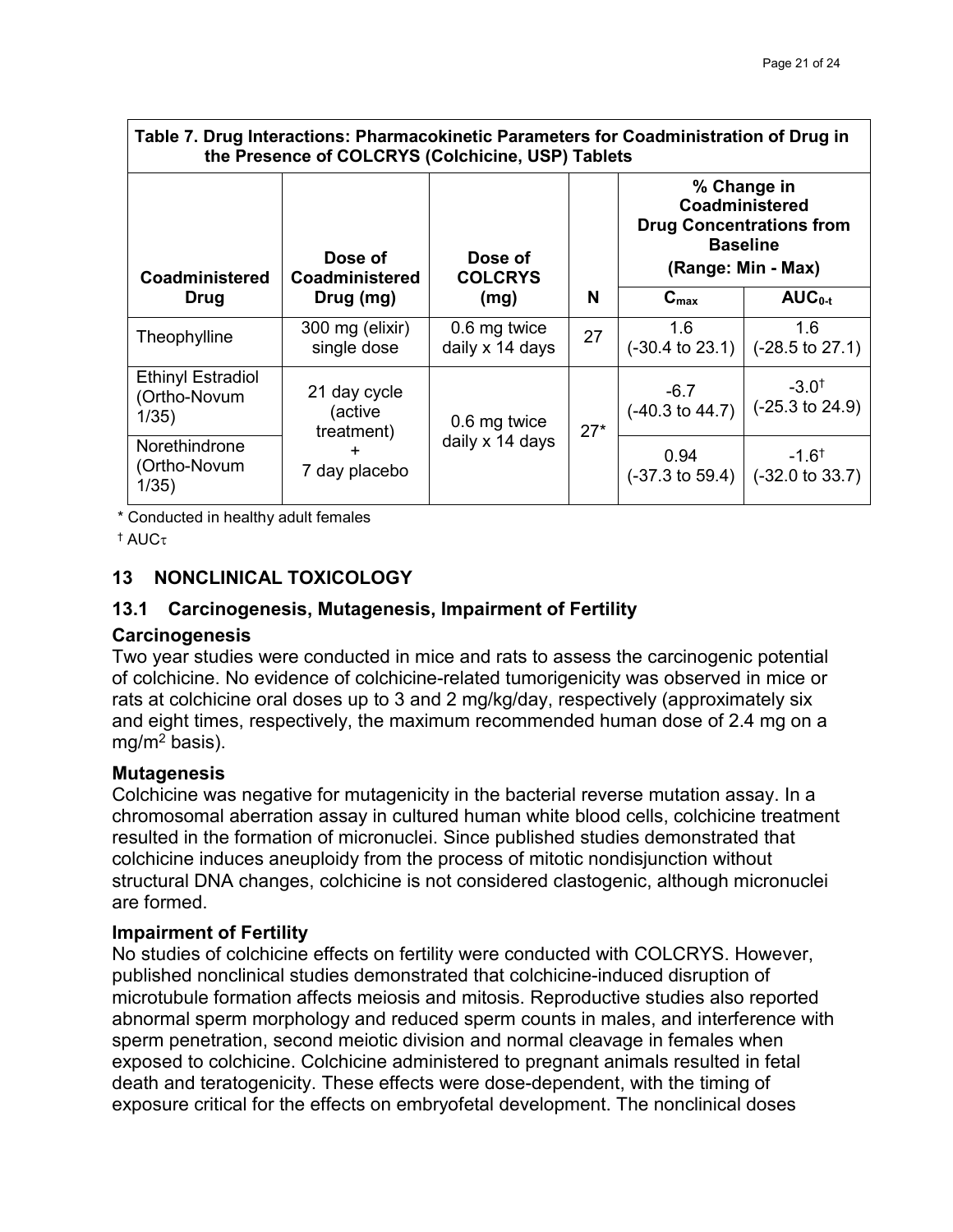|                                                   | Table 7. Drug Interactions: Pharmacokinetic Parameters for Coadministration of Drug in<br>the Presence of COLCRYS (Colchicine, USP) Tablets |                                 |       |                                      |                                                                                                           |
|---------------------------------------------------|---------------------------------------------------------------------------------------------------------------------------------------------|---------------------------------|-------|--------------------------------------|-----------------------------------------------------------------------------------------------------------|
| Coadministered                                    | Dose of<br>Coadministered                                                                                                                   | Dose of<br><b>COLCRYS</b>       |       |                                      | % Change in<br>Coadministered<br><b>Drug Concentrations from</b><br><b>Baseline</b><br>(Range: Min - Max) |
| <b>Drug</b>                                       | Drug (mg)                                                                                                                                   | (mg)                            | N     | $C_{\text{max}}$                     | $AUC_{0-t}$                                                                                               |
| Theophylline                                      | 300 mg (elixir)<br>single dose                                                                                                              | 0.6 mg twice<br>daily x 14 days | 27    | 1.6                                  | 1.6<br>$(-30.4 \text{ to } 23.1)$ $(-28.5 \text{ to } 27.1)$                                              |
| <b>Ethinyl Estradiol</b><br>(Ortho-Novum<br>1/35) | 21 day cycle<br>(active<br>treatment)                                                                                                       | 0.6 mg twice                    | $27*$ | $-6.7$<br>$(-40.3 \text{ to } 44.7)$ | $-3.0^{+}$<br>$(-25.3 \text{ to } 24.9)$                                                                  |
| Norethindrone<br>(Ortho-Novum<br>1/35)            | 7 day placebo                                                                                                                               | daily x 14 days                 |       | 0.94<br>$(-37.3 \text{ to } 59.4)$   | $-1.6$ <sup>†</sup><br>$(-32.0 \text{ to } 33.7)$                                                         |

\* Conducted in healthy adult females

† AUCτ

# **13 NONCLINICAL TOXICOLOGY**

## **13.1 Carcinogenesis, Mutagenesis, Impairment of Fertility**

#### **Carcinogenesis**

Two year studies were conducted in mice and rats to assess the carcinogenic potential of colchicine. No evidence of colchicine-related tumorigenicity was observed in mice or rats at colchicine oral doses up to 3 and 2 mg/kg/day, respectively (approximately six and eight times, respectively, the maximum recommended human dose of 2.4 mg on a mg/m<sup>2</sup> basis).

#### **Mutagenesis**

Colchicine was negative for mutagenicity in the bacterial reverse mutation assay. In a chromosomal aberration assay in cultured human white blood cells, colchicine treatment resulted in the formation of micronuclei. Since published studies demonstrated that colchicine induces aneuploidy from the process of mitotic nondisjunction without structural DNA changes, colchicine is not considered clastogenic, although micronuclei are formed.

#### **Impairment of Fertility**

No studies of colchicine effects on fertility were conducted with COLCRYS. However, published nonclinical studies demonstrated that colchicine-induced disruption of microtubule formation affects meiosis and mitosis. Reproductive studies also reported abnormal sperm morphology and reduced sperm counts in males, and interference with sperm penetration, second meiotic division and normal cleavage in females when exposed to colchicine. Colchicine administered to pregnant animals resulted in fetal death and teratogenicity. These effects were dose-dependent, with the timing of exposure critical for the effects on embryofetal development. The nonclinical doses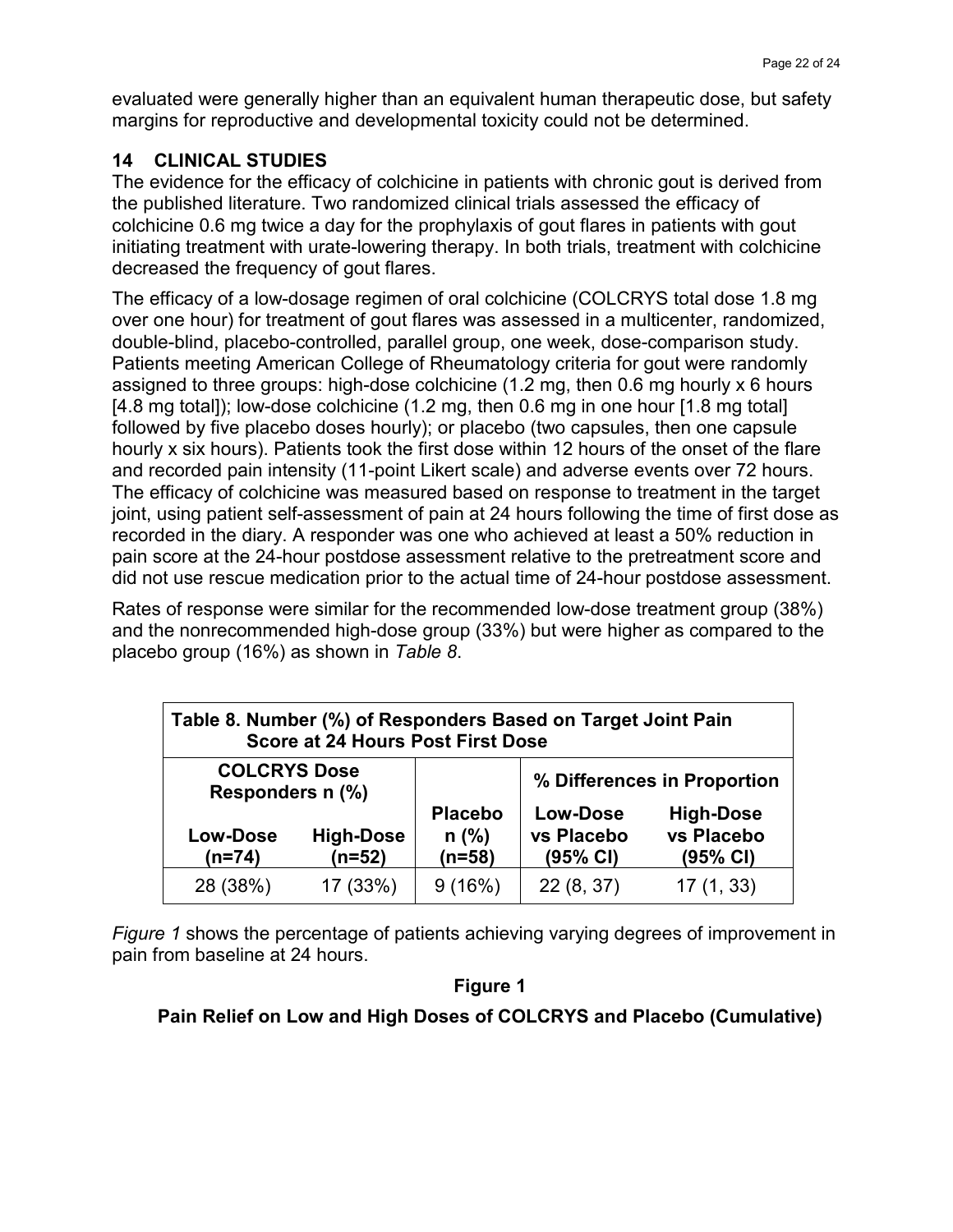evaluated were generally higher than an equivalent human therapeutic dose, but safety margins for reproductive and developmental toxicity could not be determined.

## **14 CLINICAL STUDIES**

The evidence for the efficacy of colchicine in patients with chronic gout is derived from the published literature. Two randomized clinical trials assessed the efficacy of colchicine 0.6 mg twice a day for the prophylaxis of gout flares in patients with gout initiating treatment with urate-lowering therapy. In both trials, treatment with colchicine decreased the frequency of gout flares.

The efficacy of a low-dosage regimen of oral colchicine (COLCRYS total dose 1.8 mg over one hour) for treatment of gout flares was assessed in a multicenter, randomized, double-blind, placebo-controlled, parallel group, one week, dose-comparison study. Patients meeting American College of Rheumatology criteria for gout were randomly assigned to three groups: high-dose colchicine (1.2 mg, then 0.6 mg hourly x 6 hours [4.8 mg total]); low-dose colchicine (1.2 mg, then 0.6 mg in one hour [1.8 mg total] followed by five placebo doses hourly); or placebo (two capsules, then one capsule hourly x six hours). Patients took the first dose within 12 hours of the onset of the flare and recorded pain intensity (11-point Likert scale) and adverse events over 72 hours. The efficacy of colchicine was measured based on response to treatment in the target joint, using patient self-assessment of pain at 24 hours following the time of first dose as recorded in the diary. A responder was one who achieved at least a 50% reduction in pain score at the 24-hour postdose assessment relative to the pretreatment score and did not use rescue medication prior to the actual time of 24-hour postdose assessment.

Rates of response were similar for the recommended low-dose treatment group (38%) and the nonrecommended high-dose group (33%) but were higher as compared to the placebo group (16%) as shown in *Table 8*.

| Table 8. Number (%) of Responders Based on Target Joint Pain<br><b>Score at 24 Hours Post First Dose</b> |                              |                                       |                                           |                                            |  |
|----------------------------------------------------------------------------------------------------------|------------------------------|---------------------------------------|-------------------------------------------|--------------------------------------------|--|
| <b>COLCRYS Dose</b><br>Responders n (%)                                                                  |                              |                                       |                                           | % Differences in Proportion                |  |
| <b>Low-Dose</b><br>$(n=74)$                                                                              | <b>High-Dose</b><br>$(n=52)$ | <b>Placebo</b><br>$n$ (%)<br>$(n=58)$ | <b>Low-Dose</b><br>vs Placebo<br>(95% CI) | <b>High-Dose</b><br>vs Placebo<br>(95% CI) |  |
| 28 (38%)                                                                                                 | 17 (33%)                     | 9(16%)                                | 22(8, 37)                                 | 17(1, 33)                                  |  |

*Figure 1* shows the percentage of patients achieving varying degrees of improvement in pain from baseline at 24 hours.

## **Figure 1**

**Pain Relief on Low and High Doses of COLCRYS and Placebo (Cumulative)**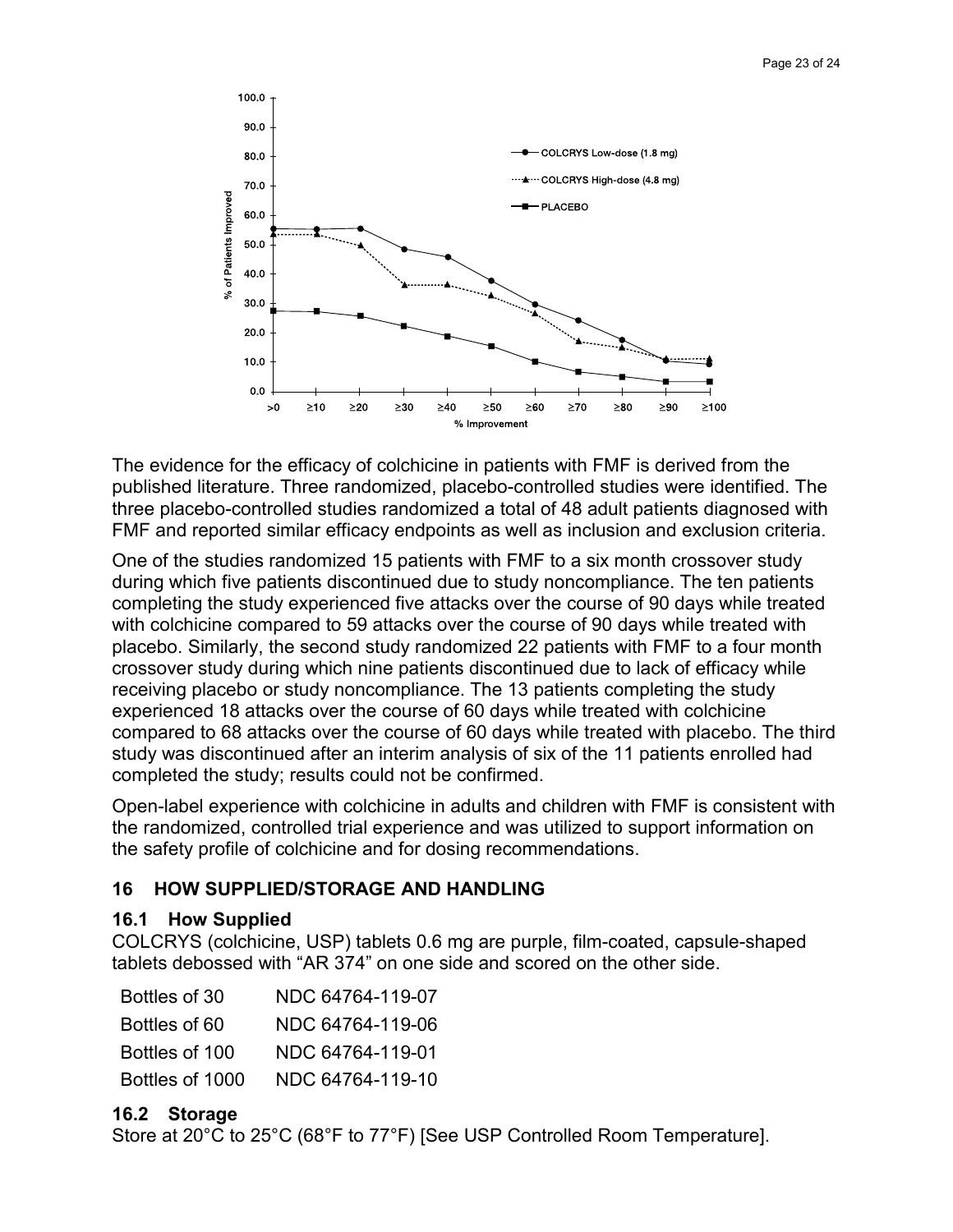

The evidence for the efficacy of colchicine in patients with FMF is derived from the published literature. Three randomized, placebo-controlled studies were identified. The three placebo-controlled studies randomized a total of 48 adult patients diagnosed with FMF and reported similar efficacy endpoints as well as inclusion and exclusion criteria.

One of the studies randomized 15 patients with FMF to a six month crossover study during which five patients discontinued due to study noncompliance. The ten patients completing the study experienced five attacks over the course of 90 days while treated with colchicine compared to 59 attacks over the course of 90 days while treated with placebo. Similarly, the second study randomized 22 patients with FMF to a four month crossover study during which nine patients discontinued due to lack of efficacy while receiving placebo or study noncompliance. The 13 patients completing the study experienced 18 attacks over the course of 60 days while treated with colchicine compared to 68 attacks over the course of 60 days while treated with placebo. The third study was discontinued after an interim analysis of six of the 11 patients enrolled had completed the study; results could not be confirmed.

Open-label experience with colchicine in adults and children with FMF is consistent with the randomized, controlled trial experience and was utilized to support information on the safety profile of colchicine and for dosing recommendations.

# **16 HOW SUPPLIED/STORAGE AND HANDLING**

#### **16.1 How Supplied**

COLCRYS (colchicine, USP) tablets 0.6 mg are purple, film-coated, capsule-shaped tablets debossed with "AR 374" on one side and scored on the other side.

| Bottles of 30   | NDC 64764-119-07 |
|-----------------|------------------|
| Bottles of 60   | NDC 64764-119-06 |
| Bottles of 100  | NDC 64764-119-01 |
| Bottles of 1000 | NDC 64764-119-10 |

# **16.2 Storage**

Store at 20°C to 25°C (68°F to 77°F) [See USP Controlled Room Temperature].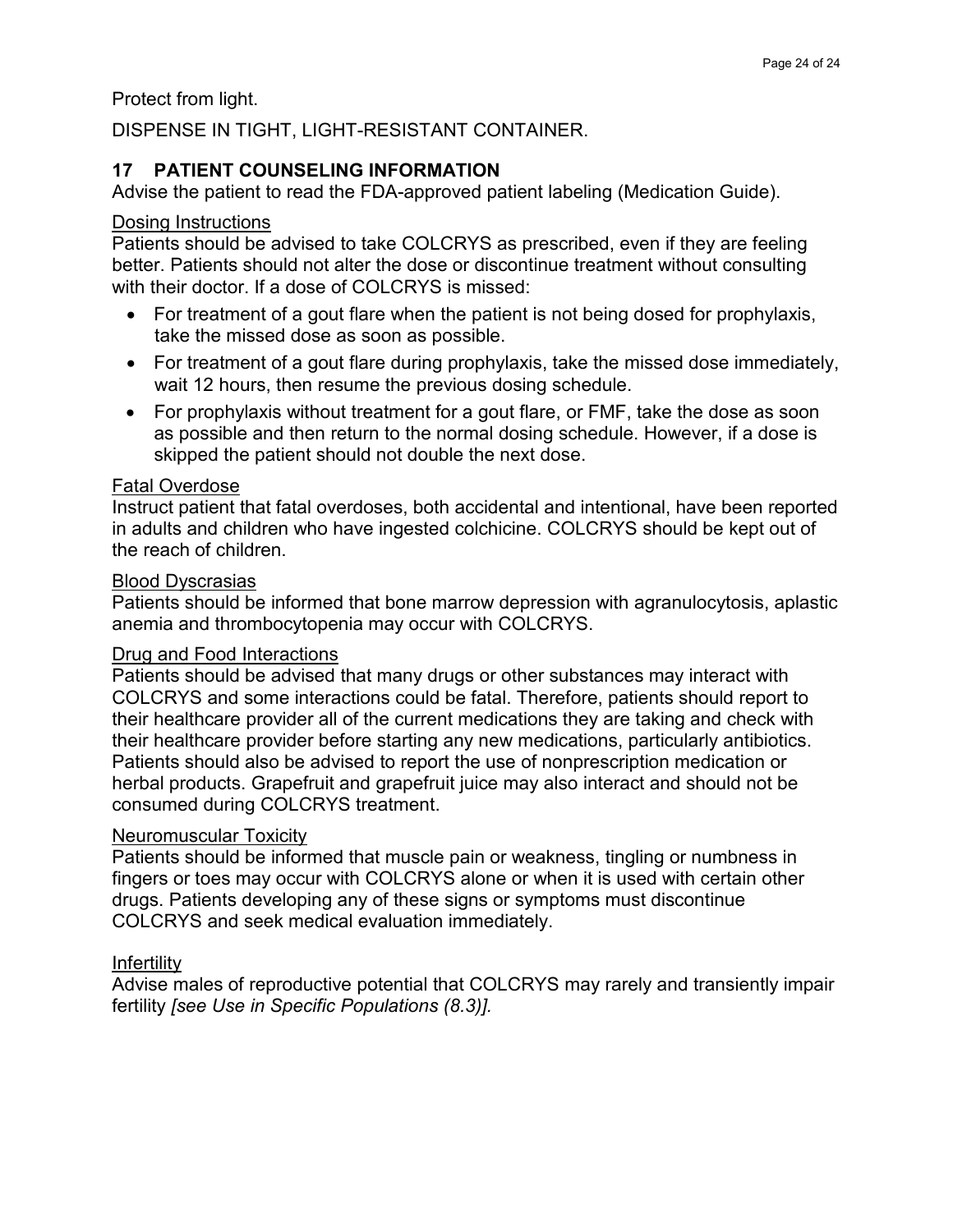Protect from light.

DISPENSE IN TIGHT, LIGHT-RESISTANT CONTAINER.

## **17 PATIENT COUNSELING INFORMATION**

Advise the patient to read the FDA-approved patient labeling (Medication Guide).

#### Dosing Instructions

Patients should be advised to take COLCRYS as prescribed, even if they are feeling better. Patients should not alter the dose or discontinue treatment without consulting with their doctor. If a dose of COLCRYS is missed:

- For treatment of a gout flare when the patient is not being dosed for prophylaxis, take the missed dose as soon as possible.
- For treatment of a gout flare during prophylaxis, take the missed dose immediately, wait 12 hours, then resume the previous dosing schedule.
- For prophylaxis without treatment for a gout flare, or FMF, take the dose as soon as possible and then return to the normal dosing schedule. However, if a dose is skipped the patient should not double the next dose.

#### Fatal Overdose

Instruct patient that fatal overdoses, both accidental and intentional, have been reported in adults and children who have ingested colchicine. COLCRYS should be kept out of the reach of children.

#### Blood Dyscrasias

Patients should be informed that bone marrow depression with agranulocytosis, aplastic anemia and thrombocytopenia may occur with COLCRYS.

#### Drug and Food Interactions

Patients should be advised that many drugs or other substances may interact with COLCRYS and some interactions could be fatal. Therefore, patients should report to their healthcare provider all of the current medications they are taking and check with their healthcare provider before starting any new medications, particularly antibiotics. Patients should also be advised to report the use of nonprescription medication or herbal products. Grapefruit and grapefruit juice may also interact and should not be consumed during COLCRYS treatment.

#### Neuromuscular Toxicity

Patients should be informed that muscle pain or weakness, tingling or numbness in fingers or toes may occur with COLCRYS alone or when it is used with certain other drugs. Patients developing any of these signs or symptoms must discontinue COLCRYS and seek medical evaluation immediately.

#### Infertility

Advise males of reproductive potential that COLCRYS may rarely and transiently impair fertility *[see Use in Specific Populations (8.3)].*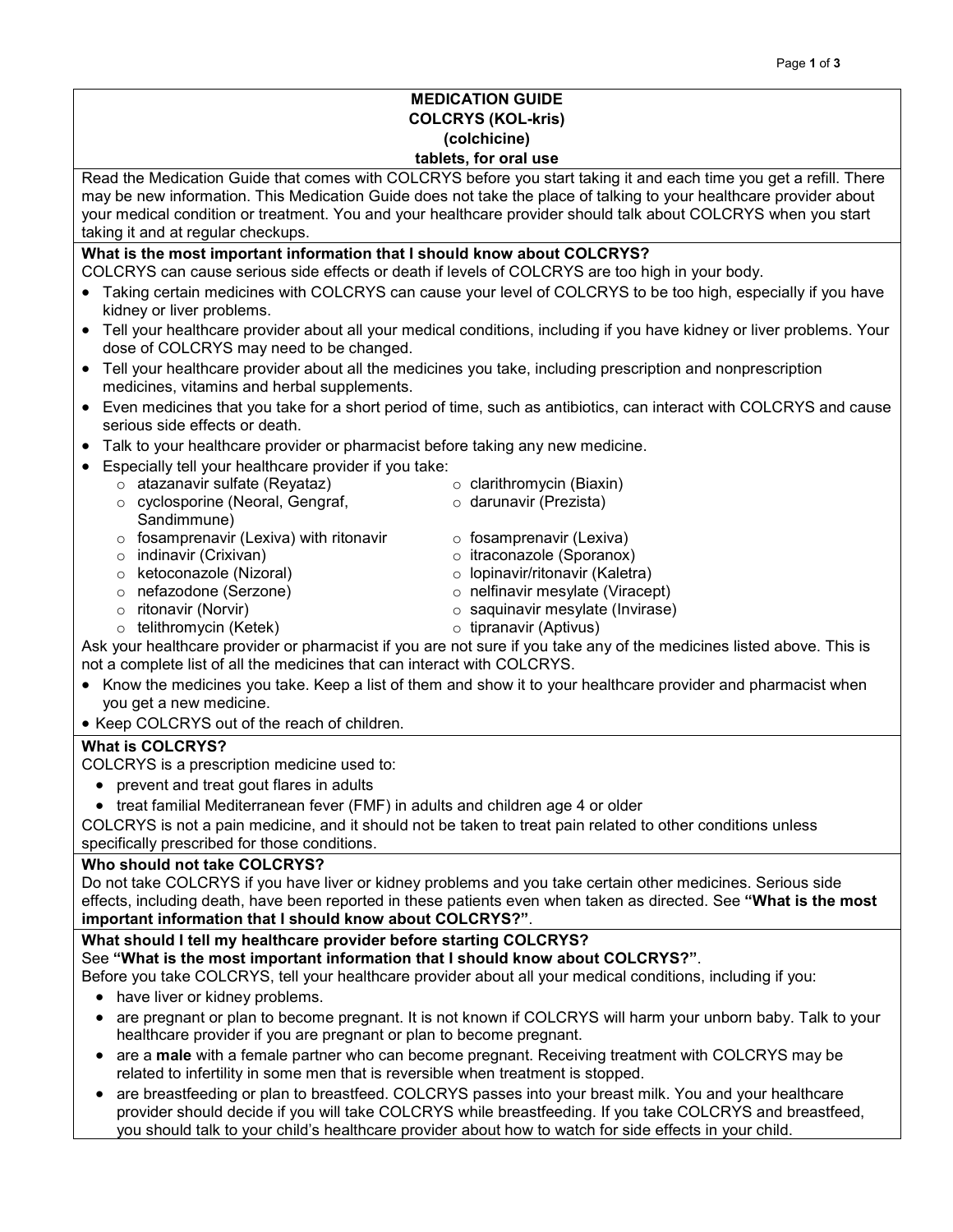#### **MEDICATION GUIDE COLCRYS (KOL-kris) (colchicine) tablets, for oral use**

Read the Medication Guide that comes with COLCRYS before you start taking it and each time you get a refill. There may be new information. This Medication Guide does not take the place of talking to your healthcare provider about your medical condition or treatment. You and your healthcare provider should talk about COLCRYS when you start taking it and at regular checkups.

**What is the most important information that I should know about COLCRYS?** COLCRYS can cause serious side effects or death if levels of COLCRYS are too high in your body.

- Taking certain medicines with COLCRYS can cause your level of COLCRYS to be too high, especially if you have kidney or liver problems.
- Tell your healthcare provider about all your medical conditions, including if you have kidney or liver problems. Your dose of COLCRYS may need to be changed.
- Tell your healthcare provider about all the medicines you take, including prescription and nonprescription medicines, vitamins and herbal supplements.
- Even medicines that you take for a short period of time, such as antibiotics, can interact with COLCRYS and cause serious side effects or death.
- Talk to your healthcare provider or pharmacist before taking any new medicine.
- Especially tell your healthcare provider if you take:
	- $\circ$  atazanavir sulfate (Reyataz)  $\circ$  clarithromycin (Biaxin)

o cyclosporine (Neoral, Gengraf,

o darunavir (Prezista)

Sandimmune)

- 
- $\circ$  fosamprenavir (Lexiva) with ritonavir  $\circ$  fosamprenavir (Lexiva)  $\circ$  indinavir (Crixivan)  $\circ$  itraconazole (Sporanox
- 
- o indinavir (Crixivan)<br>
o ketoconazole (Nizoral)<br>
o lopinavir/ritonavir (Kaletr
- o ketoconazole (Nizoral) o lopinavir/ritonavir (Kaletra)<br>
o nefazodone (Serzone) o nelfinavir mesylate (Virace)
- o nefazodone (Serzone) o nelfinavir mesylate (Viracept)<br>○ ritonavir (Norvir) o saquinavir mesylate (Invirase
- $\circ$  telithromycin (Ketek)

 $\circ$  saquinavir mesylate (Invirase)<br> $\circ$  tipranavir (Aptivus)

Ask your healthcare provider or pharmacist if you are not sure if you take any of the medicines listed above. This is not a complete list of all the medicines that can interact with COLCRYS.

- Know the medicines you take. Keep a list of them and show it to your healthcare provider and pharmacist when you get a new medicine.
- Keep COLCRYS out of the reach of children.

#### **What is COLCRYS?**

COLCRYS is a prescription medicine used to:

- prevent and treat gout flares in adults
- treat familial Mediterranean fever (FMF) in adults and children age 4 or older

COLCRYS is not a pain medicine, and it should not be taken to treat pain related to other conditions unless specifically prescribed for those conditions.

#### **Who should not take COLCRYS?**

Do not take COLCRYS if you have liver or kidney problems and you take certain other medicines. Serious side effects, including death, have been reported in these patients even when taken as directed. See **"What is the most important information that I should know about COLCRYS?"**.

# **What should I tell my healthcare provider before starting COLCRYS?**

See **"What is the most important information that I should know about COLCRYS?"**.

Before you take COLCRYS, tell your healthcare provider about all your medical conditions, including if you:

- have liver or kidney problems.
- are pregnant or plan to become pregnant. It is not known if COLCRYS will harm your unborn baby. Talk to your healthcare provider if you are pregnant or plan to become pregnant.
- are a **male** with a female partner who can become pregnant. Receiving treatment with COLCRYS may be related to infertility in some men that is reversible when treatment is stopped.
- are breastfeeding or plan to breastfeed. COLCRYS passes into your breast milk. You and your healthcare provider should decide if you will take COLCRYS while breastfeeding. If you take COLCRYS and breastfeed, you should talk to your child's healthcare provider about how to watch for side effects in your child.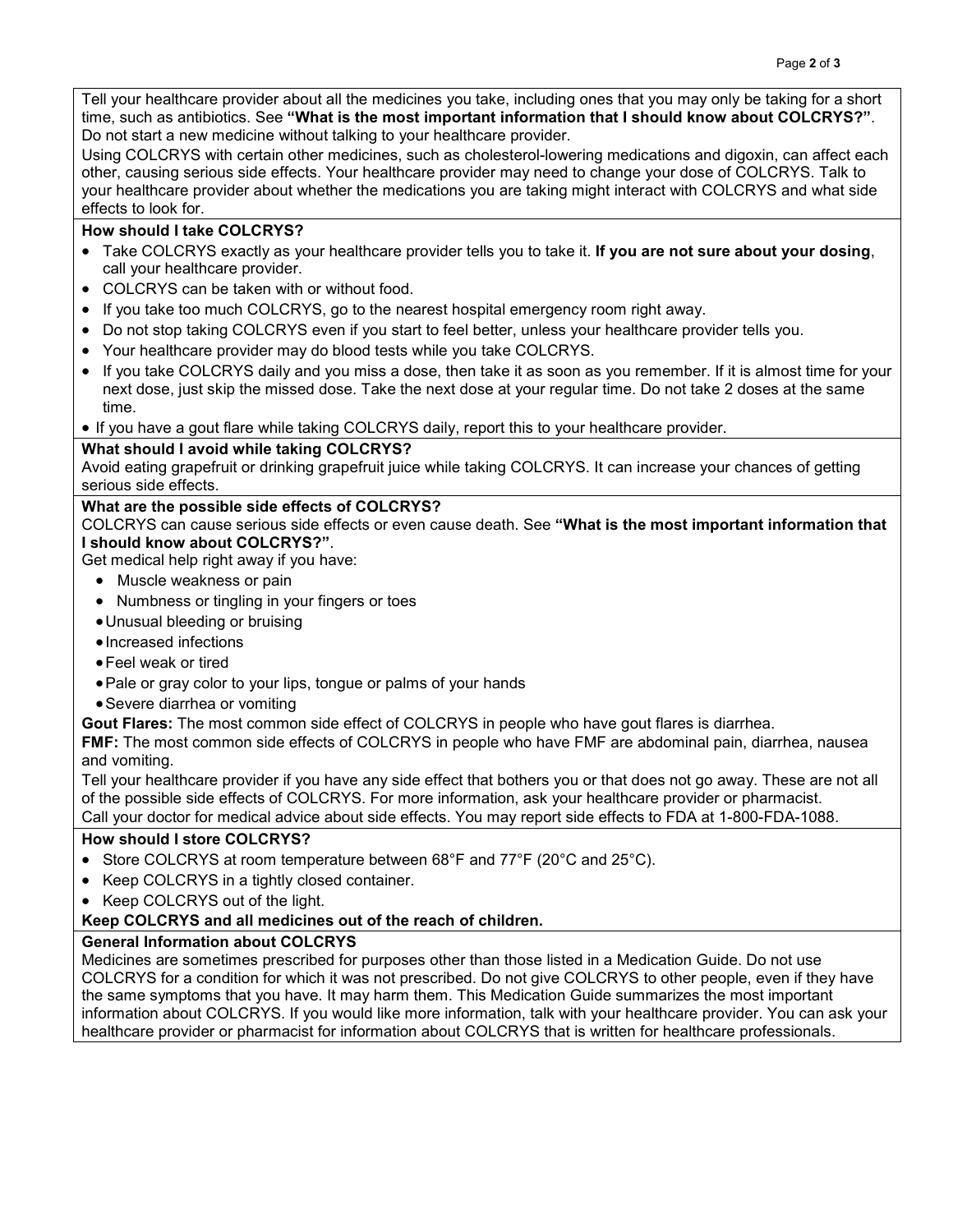Tell your healthcare provider about all the medicines you take, including ones that you may only be taking for a short time, such as antibiotics. See **"What is the most important information that I should know about COLCRYS?"**. Do not start a new medicine without talking to your healthcare provider.

Using COLCRYS with certain other medicines, such as cholesterol-lowering medications and digoxin, can affect each other, causing serious side effects. Your healthcare provider may need to change your dose of COLCRYS. Talk to your healthcare provider about whether the medications you are taking might interact with COLCRYS and what side effects to look for.

#### **How should I take COLCRYS?**

- Take COLCRYS exactly as your healthcare provider tells you to take it. **If you are not sure about your dosing**, call your healthcare provider.
- COLCRYS can be taken with or without food.
- If you take too much COLCRYS, go to the nearest hospital emergency room right away.
- Do not stop taking COLCRYS even if you start to feel better, unless your healthcare provider tells you.
- Your healthcare provider may do blood tests while you take COLCRYS.
- If you take COLCRYS daily and you miss a dose, then take it as soon as you remember. If it is almost time for your next dose, just skip the missed dose. Take the next dose at your regular time. Do not take 2 doses at the same time.
- If you have a gout flare while taking COLCRYS daily, report this to your healthcare provider.

#### **What should I avoid while taking COLCRYS?**

Avoid eating grapefruit or drinking grapefruit juice while taking COLCRYS. It can increase your chances of getting serious side effects.

#### **What are the possible side effects of COLCRYS?**

COLCRYS can cause serious side effects or even cause death. See **"What is the most important information that I should know about COLCRYS?"**.

Get medical help right away if you have:

- Muscle weakness or pain
- Numbness or tingling in your fingers or toes
- •Unusual bleeding or bruising
- Increased infections
- •Feel weak or tired
- •Pale or gray color to your lips, tongue or palms of your hands
- •Severe diarrhea or vomiting

**Gout Flares:** The most common side effect of COLCRYS in people who have gout flares is diarrhea.

**FMF:** The most common side effects of COLCRYS in people who have FMF are abdominal pain, diarrhea, nausea and vomiting.

Tell your healthcare provider if you have any side effect that bothers you or that does not go away. These are not all of the possible side effects of COLCRYS. For more information, ask your healthcare provider or pharmacist. Call your doctor for medical advice about side effects. You may report side effects to FDA at 1-800-FDA-1088.

#### **How should I store COLCRYS?**

- Store COLCRYS at room temperature between 68°F and 77°F (20°C and 25°C).
- Keep COLCRYS in a tightly closed container.
- Keep COLCRYS out of the light.

#### **Keep COLCRYS and all medicines out of the reach of children.**

#### **General Information about COLCRYS**

Medicines are sometimes prescribed for purposes other than those listed in a Medication Guide. Do not use COLCRYS for a condition for which it was not prescribed. Do not give COLCRYS to other people, even if they have the same symptoms that you have. It may harm them. This Medication Guide summarizes the most important information about COLCRYS. If you would like more information, talk with your healthcare provider. You can ask your healthcare provider or pharmacist for information about COLCRYS that is written for healthcare professionals.